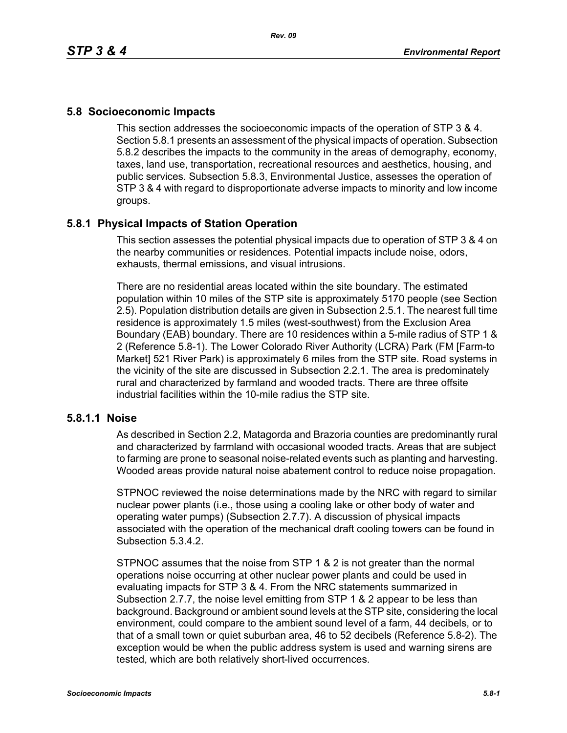### **5.8 Socioeconomic Impacts**

This section addresses the socioeconomic impacts of the operation of STP 3 & 4. Section 5.8.1 presents an assessment of the physical impacts of operation. Subsection 5.8.2 describes the impacts to the community in the areas of demography, economy, taxes, land use, transportation, recreational resources and aesthetics, housing, and public services. Subsection 5.8.3, Environmental Justice, assesses the operation of STP 3 & 4 with regard to disproportionate adverse impacts to minority and low income groups.

## **5.8.1 Physical Impacts of Station Operation**

This section assesses the potential physical impacts due to operation of STP 3 & 4 on the nearby communities or residences. Potential impacts include noise, odors, exhausts, thermal emissions, and visual intrusions.

There are no residential areas located within the site boundary. The estimated population within 10 miles of the STP site is approximately 5170 people (see Section 2.5). Population distribution details are given in Subsection 2.5.1. The nearest full time residence is approximately 1.5 miles (west-southwest) from the Exclusion Area Boundary (EAB) boundary. There are 10 residences within a 5-mile radius of STP 1 & 2 (Reference 5.8-1). The Lower Colorado River Authority (LCRA) Park (FM [Farm-to Market] 521 River Park) is approximately 6 miles from the STP site. Road systems in the vicinity of the site are discussed in Subsection 2.2.1. The area is predominately rural and characterized by farmland and wooded tracts. There are three offsite industrial facilities within the 10-mile radius the STP site.

### **5.8.1.1 Noise**

As described in Section 2.2, Matagorda and Brazoria counties are predominantly rural and characterized by farmland with occasional wooded tracts. Areas that are subject to farming are prone to seasonal noise-related events such as planting and harvesting. Wooded areas provide natural noise abatement control to reduce noise propagation.

STPNOC reviewed the noise determinations made by the NRC with regard to similar nuclear power plants (i.e., those using a cooling lake or other body of water and operating water pumps) (Subsection 2.7.7). A discussion of physical impacts associated with the operation of the mechanical draft cooling towers can be found in Subsection 5.3.4.2.

STPNOC assumes that the noise from STP 1 & 2 is not greater than the normal operations noise occurring at other nuclear power plants and could be used in evaluating impacts for STP 3 & 4. From the NRC statements summarized in Subsection 2.7.7, the noise level emitting from STP 1 & 2 appear to be less than background. Background or ambient sound levels at the STP site, considering the local environment, could compare to the ambient sound level of a farm, 44 decibels, or to that of a small town or quiet suburban area, 46 to 52 decibels (Reference 5.8-2). The exception would be when the public address system is used and warning sirens are tested, which are both relatively short-lived occurrences.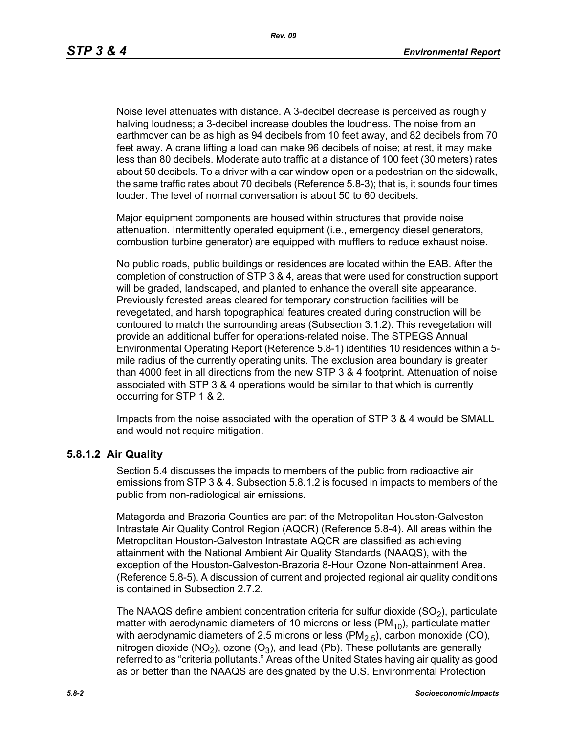Noise level attenuates with distance. A 3-decibel decrease is perceived as roughly halving loudness; a 3-decibel increase doubles the loudness. The noise from an earthmover can be as high as 94 decibels from 10 feet away, and 82 decibels from 70 feet away. A crane lifting a load can make 96 decibels of noise; at rest, it may make less than 80 decibels. Moderate auto traffic at a distance of 100 feet (30 meters) rates about 50 decibels. To a driver with a car window open or a pedestrian on the sidewalk, the same traffic rates about 70 decibels (Reference 5.8-3); that is, it sounds four times louder. The level of normal conversation is about 50 to 60 decibels.

Major equipment components are housed within structures that provide noise attenuation. Intermittently operated equipment (i.e., emergency diesel generators, combustion turbine generator) are equipped with mufflers to reduce exhaust noise.

No public roads, public buildings or residences are located within the EAB. After the completion of construction of STP 3 & 4, areas that were used for construction support will be graded, landscaped, and planted to enhance the overall site appearance. Previously forested areas cleared for temporary construction facilities will be revegetated, and harsh topographical features created during construction will be contoured to match the surrounding areas (Subsection 3.1.2). This revegetation will provide an additional buffer for operations-related noise. The STPEGS Annual Environmental Operating Report (Reference 5.8-1) identifies 10 residences within a 5 mile radius of the currently operating units. The exclusion area boundary is greater than 4000 feet in all directions from the new STP 3 & 4 footprint. Attenuation of noise associated with STP 3 & 4 operations would be similar to that which is currently occurring for STP 1 & 2.

Impacts from the noise associated with the operation of STP 3 & 4 would be SMALL and would not require mitigation.

#### **5.8.1.2 Air Quality**

Section 5.4 discusses the impacts to members of the public from radioactive air emissions from STP 3 & 4. Subsection 5.8.1.2 is focused in impacts to members of the public from non-radiological air emissions.

Matagorda and Brazoria Counties are part of the Metropolitan Houston-Galveston Intrastate Air Quality Control Region (AQCR) (Reference 5.8-4). All areas within the Metropolitan Houston-Galveston Intrastate AQCR are classified as achieving attainment with the National Ambient Air Quality Standards (NAAQS), with the exception of the Houston-Galveston-Brazoria 8-Hour Ozone Non-attainment Area. (Reference 5.8-5). A discussion of current and projected regional air quality conditions is contained in Subsection 2.7.2.

The NAAQS define ambient concentration criteria for sulfur dioxide  $(SO<sub>2</sub>)$ , particulate matter with aerodynamic diameters of 10 microns or less ( $PM_{10}$ ), particulate matter with aerodynamic diameters of 2.5 microns or less  $(PM<sub>2.5</sub>)$ , carbon monoxide (CO), nitrogen dioxide (NO<sub>2</sub>), ozone (O<sub>3</sub>), and lead (Pb). These pollutants are generally referred to as "criteria pollutants." Areas of the United States having air quality as good as or better than the NAAQS are designated by the U.S. Environmental Protection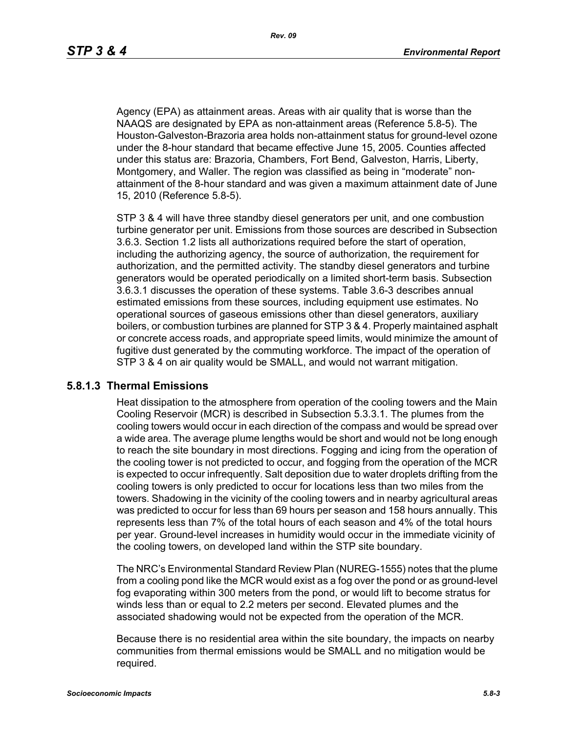Agency (EPA) as attainment areas. Areas with air quality that is worse than the NAAQS are designated by EPA as non-attainment areas (Reference 5.8-5). The Houston-Galveston-Brazoria area holds non-attainment status for ground-level ozone under the 8-hour standard that became effective June 15, 2005. Counties affected under this status are: Brazoria, Chambers, Fort Bend, Galveston, Harris, Liberty, Montgomery, and Waller. The region was classified as being in "moderate" nonattainment of the 8-hour standard and was given a maximum attainment date of June 15, 2010 (Reference 5.8-5).

STP 3 & 4 will have three standby diesel generators per unit, and one combustion turbine generator per unit. Emissions from those sources are described in Subsection 3.6.3. Section 1.2 lists all authorizations required before the start of operation, including the authorizing agency, the source of authorization, the requirement for authorization, and the permitted activity. The standby diesel generators and turbine generators would be operated periodically on a limited short-term basis. Subsection 3.6.3.1 discusses the operation of these systems. Table 3.6-3 describes annual estimated emissions from these sources, including equipment use estimates. No operational sources of gaseous emissions other than diesel generators, auxiliary boilers, or combustion turbines are planned for STP 3 & 4. Properly maintained asphalt or concrete access roads, and appropriate speed limits, would minimize the amount of fugitive dust generated by the commuting workforce. The impact of the operation of STP 3 & 4 on air quality would be SMALL, and would not warrant mitigation.

#### **5.8.1.3 Thermal Emissions**

Heat dissipation to the atmosphere from operation of the cooling towers and the Main Cooling Reservoir (MCR) is described in Subsection 5.3.3.1. The plumes from the cooling towers would occur in each direction of the compass and would be spread over a wide area. The average plume lengths would be short and would not be long enough to reach the site boundary in most directions. Fogging and icing from the operation of the cooling tower is not predicted to occur, and fogging from the operation of the MCR is expected to occur infrequently. Salt deposition due to water droplets drifting from the cooling towers is only predicted to occur for locations less than two miles from the towers. Shadowing in the vicinity of the cooling towers and in nearby agricultural areas was predicted to occur for less than 69 hours per season and 158 hours annually. This represents less than 7% of the total hours of each season and 4% of the total hours per year. Ground-level increases in humidity would occur in the immediate vicinity of the cooling towers, on developed land within the STP site boundary.

The NRC's Environmental Standard Review Plan (NUREG-1555) notes that the plume from a cooling pond like the MCR would exist as a fog over the pond or as ground-level fog evaporating within 300 meters from the pond, or would lift to become stratus for winds less than or equal to 2.2 meters per second. Elevated plumes and the associated shadowing would not be expected from the operation of the MCR.

Because there is no residential area within the site boundary, the impacts on nearby communities from thermal emissions would be SMALL and no mitigation would be required.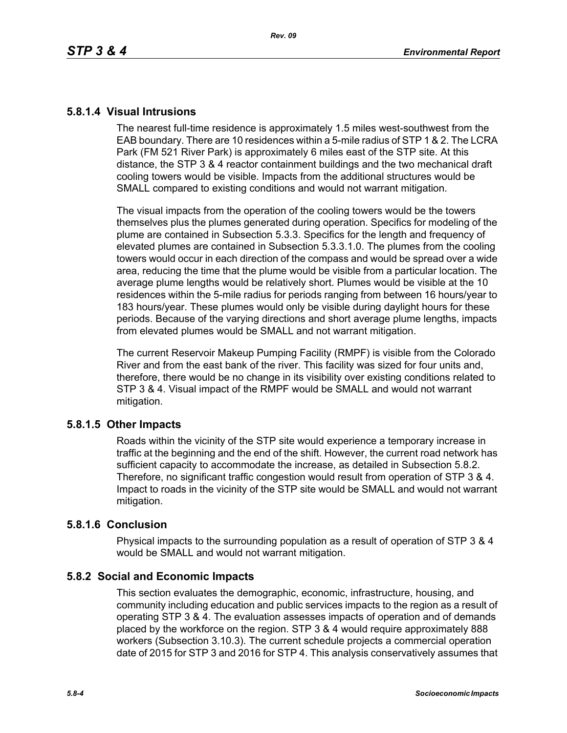### **5.8.1.4 Visual Intrusions**

The nearest full-time residence is approximately 1.5 miles west-southwest from the EAB boundary. There are 10 residences within a 5-mile radius of STP 1 & 2. The LCRA Park (FM 521 River Park) is approximately 6 miles east of the STP site. At this distance, the STP 3 & 4 reactor containment buildings and the two mechanical draft cooling towers would be visible. Impacts from the additional structures would be SMALL compared to existing conditions and would not warrant mitigation.

The visual impacts from the operation of the cooling towers would be the towers themselves plus the plumes generated during operation. Specifics for modeling of the plume are contained in Subsection 5.3.3. Specifics for the length and frequency of elevated plumes are contained in Subsection 5.3.3.1.0. The plumes from the cooling towers would occur in each direction of the compass and would be spread over a wide area, reducing the time that the plume would be visible from a particular location. The average plume lengths would be relatively short. Plumes would be visible at the 10 residences within the 5-mile radius for periods ranging from between 16 hours/year to 183 hours/year. These plumes would only be visible during daylight hours for these periods. Because of the varying directions and short average plume lengths, impacts from elevated plumes would be SMALL and not warrant mitigation.

The current Reservoir Makeup Pumping Facility (RMPF) is visible from the Colorado River and from the east bank of the river. This facility was sized for four units and, therefore, there would be no change in its visibility over existing conditions related to STP 3 & 4. Visual impact of the RMPF would be SMALL and would not warrant mitigation.

## **5.8.1.5 Other Impacts**

Roads within the vicinity of the STP site would experience a temporary increase in traffic at the beginning and the end of the shift. However, the current road network has sufficient capacity to accommodate the increase, as detailed in Subsection 5.8.2. Therefore, no significant traffic congestion would result from operation of STP 3 & 4. Impact to roads in the vicinity of the STP site would be SMALL and would not warrant mitigation.

### **5.8.1.6 Conclusion**

Physical impacts to the surrounding population as a result of operation of STP 3 & 4 would be SMALL and would not warrant mitigation.

## **5.8.2 Social and Economic Impacts**

This section evaluates the demographic, economic, infrastructure, housing, and community including education and public services impacts to the region as a result of operating STP 3 & 4. The evaluation assesses impacts of operation and of demands placed by the workforce on the region. STP 3 & 4 would require approximately 888 workers (Subsection 3.10.3). The current schedule projects a commercial operation date of 2015 for STP 3 and 2016 for STP 4. This analysis conservatively assumes that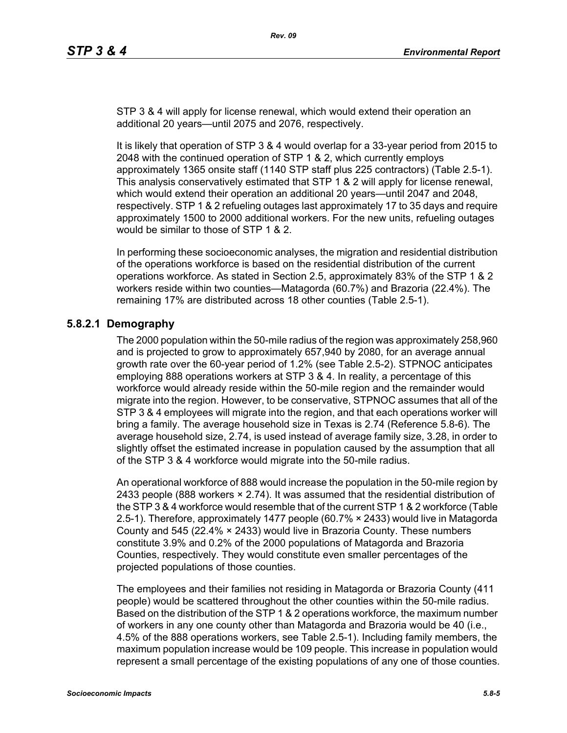STP 3 & 4 will apply for license renewal, which would extend their operation an additional 20 years—until 2075 and 2076, respectively.

It is likely that operation of STP 3 & 4 would overlap for a 33-year period from 2015 to 2048 with the continued operation of STP 1 & 2, which currently employs approximately 1365 onsite staff (1140 STP staff plus 225 contractors) (Table 2.5-1). This analysis conservatively estimated that STP 1 & 2 will apply for license renewal, which would extend their operation an additional 20 years—until 2047 and 2048, respectively. STP 1 & 2 refueling outages last approximately 17 to 35 days and require approximately 1500 to 2000 additional workers. For the new units, refueling outages would be similar to those of STP 1 & 2.

In performing these socioeconomic analyses, the migration and residential distribution of the operations workforce is based on the residential distribution of the current operations workforce. As stated in Section 2.5, approximately 83% of the STP 1 & 2 workers reside within two counties—Matagorda (60.7%) and Brazoria (22.4%). The remaining 17% are distributed across 18 other counties (Table 2.5-1).

# **5.8.2.1 Demography**

The 2000 population within the 50-mile radius of the region was approximately 258,960 and is projected to grow to approximately 657,940 by 2080, for an average annual growth rate over the 60-year period of 1.2% (see Table 2.5-2). STPNOC anticipates employing 888 operations workers at STP 3 & 4. In reality, a percentage of this workforce would already reside within the 50-mile region and the remainder would migrate into the region. However, to be conservative, STPNOC assumes that all of the STP 3 & 4 employees will migrate into the region, and that each operations worker will bring a family. The average household size in Texas is 2.74 (Reference 5.8-6). The average household size, 2.74, is used instead of average family size, 3.28, in order to slightly offset the estimated increase in population caused by the assumption that all of the STP 3 & 4 workforce would migrate into the 50-mile radius.

An operational workforce of 888 would increase the population in the 50-mile region by 2433 people (888 workers  $\times$  2.74). It was assumed that the residential distribution of [the STP 3 & 4 workforce would resemble that of the current STP 1 & 2 workforce \(Table](http://www.stats.bls.gov/)  2.5-1). Therefore, approximately 1477 people (60.7% × 2433) would live in Matagorda County and 545 (22.4% × 2433) would live in Brazoria County. These numbers constitute 3.9% and 0.2% of the 2000 populations of Matagorda and Brazoria Counties, respectively. They would constitute even smaller percentages of the projected populations of those counties.

The employees and their families not residing in Matagorda or Brazoria County (411 people) would be scattered throughout the other counties within the 50-mile radius. Based on the distribution of the STP 1 & 2 operations workforce, the maximum number of workers in any one county other than Matagorda and Brazoria would be 40 (i.e., 4.5% of the 888 operations workers, see Table 2.5-1). Including family members, the maximum population increase would be 109 people. This increase in population would represent a small percentage of the existing populations of any one of those counties.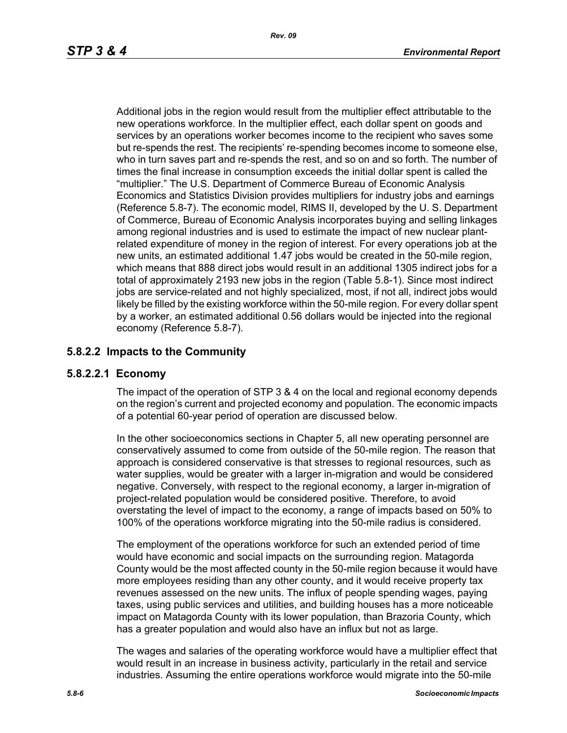Additional jobs in the region would result from the multiplier effect attributable to the new operations workforce. In the multiplier effect, each dollar spent on goods and services by an operations worker becomes income to the recipient who saves some but re-spends the rest. The recipients' re-spending becomes income to someone else, who in turn saves part and re-spends the rest, and so on and so forth. The number of times the final increase in consumption exceeds the initial dollar spent is called the "multiplier." The U.S. Department of Commerce Bureau of Economic Analysis Economics and Statistics Division provides multipliers for industry jobs and earnings (Reference 5.8-7). The economic model, RIMS II, developed by the U. S. Department of Commerce, Bureau of Economic Analysis incorporates buying and selling linkages among regional industries and is used to estimate the impact of new nuclear plantrelated expenditure of money in the region of interest. For every operations job at the new units, an estimated additional 1.47 jobs would be created in the 50-mile region, which means that 888 direct jobs would result in an additional 1305 indirect jobs for a total of approximately 2193 new jobs in the region (Table 5.8-1). Since most indirect iobs are service-related and not highly specialized, most, if not all, indirect jobs would likely be filled by the existing workforce within the 50-mile region. For every dollar spent by a worker, an estimated additional 0.56 dollars would be injected into the regional economy (Reference 5.8-7).

# **5.8.2.2 Impacts to the Community**

## **5.8.2.2.1 Economy**

The impact of the operation of STP 3 & 4 on the local and regional economy depends on the region's current and projected economy and population. The economic impacts of a potential 60-year period of operation are discussed below.

In the other socioeconomics sections in Chapter 5, all new operating personnel are conservatively assumed to come from outside of the 50-mile region. The reason that approach is considered conservative is that stresses to regional resources, such as water supplies, would be greater with a larger in-migration and would be considered negative. Conversely, with respect to the regional economy, a larger in-migration of project-related population would be considered positive. Therefore, to avoid overstating the level of impact to the economy, a range of impacts based on 50% to 100% of the operations workforce migrating into the 50-mile radius is considered.

The employment of the operations workforce for such an extended period of time would have economic and social impacts on the surrounding region. Matagorda County would be the most affected county in the 50-mile region because it would have more employees residing than any other county, and it would receive property tax revenues assessed on the new units. The influx of people spending wages, paying taxes, using public services and utilities, and building houses has a more noticeable impact on Matagorda County with its lower population, than Brazoria County, which has a greater population and would also have an influx but not as large.

The wages and salaries of the operating workforce would have a multiplier effect that would result in an increase in business activity, particularly in the retail and service industries. Assuming the entire operations workforce would migrate into the 50-mile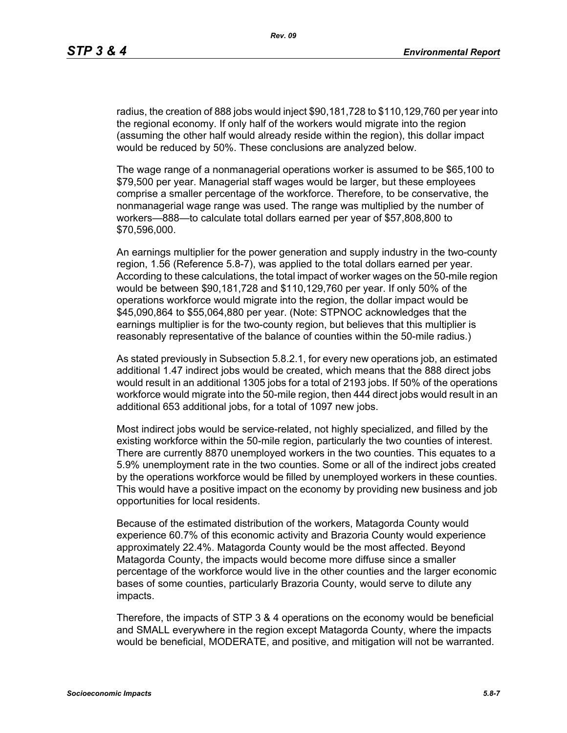radius, the creation of 888 jobs would inject \$90,181,728 to \$110,129,760 per year into the regional economy. If only half of the workers would migrate into the region (assuming the other half would already reside within the region), this dollar impact would be reduced by 50%. These conclusions are analyzed below.

The wage range of a nonmanagerial operations worker is assumed to be \$65,100 to \$79,500 per year. Managerial staff wages would be larger, but these employees comprise a smaller percentage of the workforce. Therefore, to be conservative, the nonmanagerial wage range was used. The range was multiplied by the number of workers—888—to calculate total dollars earned per year of \$57,808,800 to \$70,596,000.

An earnings multiplier for the power generation and supply industry in the two-county region, 1.56 (Reference 5.8-7), was applied to the total dollars earned per year. According to these calculations, the total impact of worker wages on the 50-mile region would be between \$90,181,728 and \$110,129,760 per year. If only 50% of the operations workforce would migrate into the region, the dollar impact would be \$45,090,864 to \$55,064,880 per year. (Note: STPNOC acknowledges that the earnings multiplier is for the two-county region, but believes that this multiplier is reasonably representative of the balance of counties within the 50-mile radius.)

As stated previously in Subsection 5.8.2.1, for every new operations job, an estimated additional 1.47 indirect jobs would be created, which means that the 888 direct jobs would result in an additional 1305 jobs for a total of 2193 jobs. If 50% of the operations workforce would migrate into the 50-mile region, then 444 direct jobs would result in an additional 653 additional jobs, for a total of 1097 new jobs.

Most indirect jobs would be service-related, not highly specialized, and filled by the existing workforce within the 50-mile region, particularly the two counties of interest. There are currently 8870 unemployed workers in the two counties. This equates to a 5.9% unemployment rate in the two counties. Some or all of the indirect jobs created by the operations workforce would be filled by unemployed workers in these counties. This would have a positive impact on the economy by providing new business and job opportunities for local residents.

Because of the estimated distribution of the workers, Matagorda County would experience 60.7% of this economic activity and Brazoria County would experience approximately 22.4%. Matagorda County would be the most affected. Beyond Matagorda County, the impacts would become more diffuse since a smaller percentage of the workforce would live in the other counties and the larger economic bases of some counties, particularly Brazoria County, would serve to dilute any impacts.

Therefore, the impacts of STP 3 & 4 operations on the economy would be beneficial and SMALL everywhere in the region except Matagorda County, where the impacts would be beneficial, MODERATE, and positive, and mitigation will not be warranted.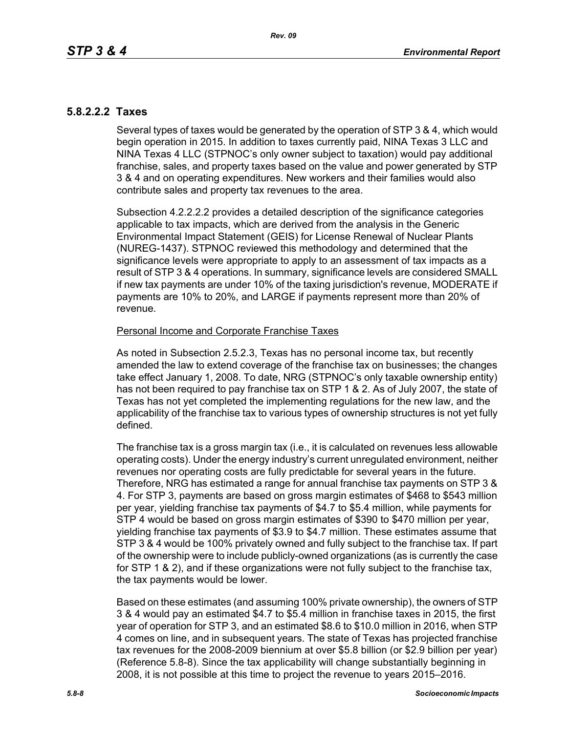# **5.8.2.2.2 Taxes**

Several types of taxes would be generated by the operation of STP 3 & 4, which would begin operation in 2015. In addition to taxes currently paid, NINA Texas 3 LLC and NINA Texas 4 LLC (STPNOC's only owner subject to taxation) would pay additional franchise, sales, and property taxes based on the value and power generated by STP 3 & 4 and on operating expenditures. New workers and their families would also contribute sales and property tax revenues to the area.

Subsection 4.2.2.2.2 provides a detailed description of the significance categories applicable to tax impacts, which are derived from the analysis in the Generic Environmental Impact Statement (GEIS) for License Renewal of Nuclear Plants (NUREG-1437). STPNOC reviewed this methodology and determined that the significance levels were appropriate to apply to an assessment of tax impacts as a result of STP 3 & 4 operations. In summary, significance levels are considered SMALL if new tax payments are under 10% of the taxing jurisdiction's revenue, MODERATE if payments are 10% to 20%, and LARGE if payments represent more than 20% of revenue.

### Personal Income and Corporate Franchise Taxes

As noted in Subsection 2.5.2.3, Texas has no personal income tax, but recently amended the law to extend coverage of the franchise tax on businesses; the changes take effect January 1, 2008. To date, NRG (STPNOC's only taxable ownership entity) has not been required to pay franchise tax on STP 1 & 2. As of July 2007, the state of Texas has not yet completed the implementing regulations for the new law, and the applicability of the franchise tax to various types of ownership structures is not yet fully defined.

The franchise tax is a gross margin tax (i.e., it is calculated on revenues less allowable operating costs). Under the energy industry's current unregulated environment, neither revenues nor operating costs are fully predictable for several years in the future. Therefore, NRG has estimated a range for annual franchise tax payments on STP 3 & 4. For STP 3, payments are based on gross margin estimates of \$468 to \$543 million per year, yielding franchise tax payments of \$4.7 to \$5.4 million, while payments for STP 4 would be based on gross margin estimates of \$390 to \$470 million per year, yielding franchise tax payments of \$3.9 to \$4.7 million. These estimates assume that STP 3 & 4 would be 100% privately owned and fully subject to the franchise tax. If part of the ownership were to include publicly-owned organizations (as is currently the case for STP 1 & 2), and if these organizations were not fully subject to the franchise tax, the tax payments would be lower.

Based on these estimates (and assuming 100% private ownership), the owners of STP 3 & 4 would pay an estimated \$4.7 to \$5.4 million in franchise taxes in 2015, the first year of operation for STP 3, and an estimated \$8.6 to \$10.0 million in 2016, when STP 4 comes on line, and in subsequent years. The state of Texas has projected franchise tax revenues for the 2008-2009 biennium at over \$5.8 billion (or \$2.9 billion per year) (Reference 5.8-8). Since the tax applicability will change substantially beginning in 2008, it is not possible at this time to project the revenue to years 2015–2016.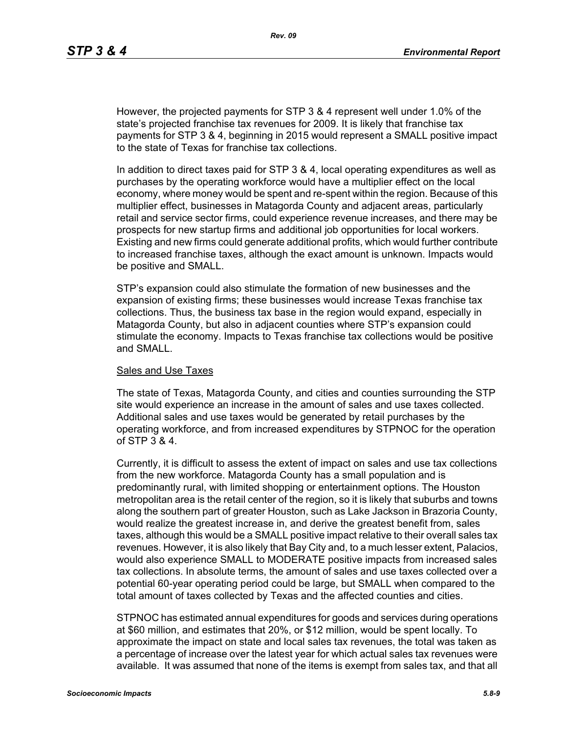However, the projected payments for STP 3 & 4 represent well under 1.0% of the state's projected franchise tax revenues for 2009. It is likely that franchise tax payments for STP 3 & 4, beginning in 2015 would represent a SMALL positive impact to the state of Texas for franchise tax collections.

In addition to direct taxes paid for STP 3 & 4, local operating expenditures as well as purchases by the operating workforce would have a multiplier effect on the local economy, where money would be spent and re-spent within the region. Because of this multiplier effect, businesses in Matagorda County and adjacent areas, particularly retail and service sector firms, could experience revenue increases, and there may be prospects for new startup firms and additional job opportunities for local workers. Existing and new firms could generate additional profits, which would further contribute to increased franchise taxes, although the exact amount is unknown. Impacts would be positive and SMALL.

STP's expansion could also stimulate the formation of new businesses and the expansion of existing firms; these businesses would increase Texas franchise tax collections. Thus, the business tax base in the region would expand, especially in Matagorda County, but also in adjacent counties where STP's expansion could stimulate the economy. Impacts to Texas franchise tax collections would be positive and SMALL.

#### Sales and Use Taxes

The state of Texas, Matagorda County, and cities and counties surrounding the STP site would experience an increase in the amount of sales and use taxes collected. Additional sales and use taxes would be generated by retail purchases by the operating workforce, and from increased expenditures by STPNOC for the operation of STP 3 & 4.

Currently, it is difficult to assess the extent of impact on sales and use tax collections from the new workforce. Matagorda County has a small population and is predominantly rural, with limited shopping or entertainment options. The Houston metropolitan area is the retail center of the region, so it is likely that suburbs and towns along the southern part of greater Houston, such as Lake Jackson in Brazoria County, would realize the greatest increase in, and derive the greatest benefit from, sales taxes, although this would be a SMALL positive impact relative to their overall sales tax revenues. However, it is also likely that Bay City and, to a much lesser extent, Palacios, would also experience SMALL to MODERATE positive impacts from increased sales tax collections. In absolute terms, the amount of sales and use taxes collected over a potential 60-year operating period could be large, but SMALL when compared to the total amount of taxes collected by Texas and the affected counties and cities.

STPNOC has estimated annual expenditures for goods and services during operations at \$60 million, and estimates that 20%, or \$12 million, would be spent locally. To approximate the impact on state and local sales tax revenues, the total was taken as a percentage of increase over the latest year for which actual sales tax revenues were available. It was assumed that none of the items is exempt from sales tax, and that all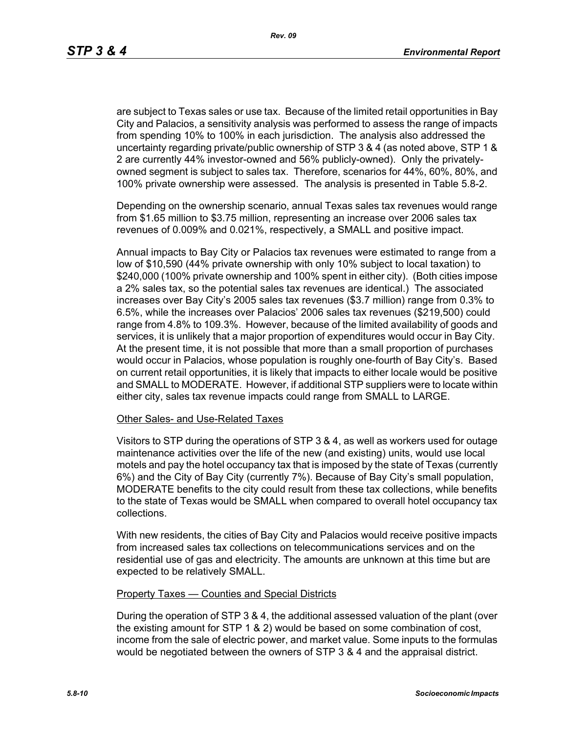are subject to Texas sales or use tax. Because of the limited retail opportunities in Bay City and Palacios, a sensitivity analysis was performed to assess the range of impacts from spending 10% to 100% in each jurisdiction. The analysis also addressed the uncertainty regarding private/public ownership of STP 3 & 4 (as noted above, STP 1 & 2 are currently 44% investor-owned and 56% publicly-owned). Only the privatelyowned segment is subject to sales tax. Therefore, scenarios for 44%, 60%, 80%, and 100% private ownership were assessed. The analysis is presented in Table 5.8-2.

Depending on the ownership scenario, annual Texas sales tax revenues would range from \$1.65 million to \$3.75 million, representing an increase over 2006 sales tax revenues of 0.009% and 0.021%, respectively, a SMALL and positive impact.

Annual impacts to Bay City or Palacios tax revenues were estimated to range from a low of \$10,590 (44% private ownership with only 10% subject to local taxation) to \$240,000 (100% private ownership and 100% spent in either city). (Both cities impose a 2% sales tax, so the potential sales tax revenues are identical.) The associated increases over Bay City's 2005 sales tax revenues (\$3.7 million) range from 0.3% to 6.5%, while the increases over Palacios' 2006 sales tax revenues (\$219,500) could range from 4.8% to 109.3%. However, because of the limited availability of goods and services, it is unlikely that a major proportion of expenditures would occur in Bay City. At the present time, it is not possible that more than a small proportion of purchases would occur in Palacios, whose population is roughly one-fourth of Bay City's. Based on current retail opportunities, it is likely that impacts to either locale would be positive and SMALL to MODERATE. However, if additional STP suppliers were to locate within either city, sales tax revenue impacts could range from SMALL to LARGE.

#### Other Sales- and Use-Related Taxes

Visitors to STP during the operations of STP 3 & 4, as well as workers used for outage maintenance activities over the life of the new (and existing) units, would use local motels and pay the hotel occupancy tax that is imposed by the state of Texas (currently 6%) and the City of Bay City (currently 7%). Because of Bay City's small population, MODERATE benefits to the city could result from these tax collections, while benefits to the state of Texas would be SMALL when compared to overall hotel occupancy tax collections.

With new residents, the cities of Bay City and Palacios would receive positive impacts from increased sales tax collections on telecommunications services and on the residential use of gas and electricity. The amounts are unknown at this time but are expected to be relatively SMALL.

#### Property Taxes — Counties and Special Districts

During the operation of STP 3 & 4, the additional assessed valuation of the plant (over the existing amount for STP 1 & 2) would be based on some combination of cost, income from the sale of electric power, and market value. Some inputs to the formulas would be negotiated between the owners of STP 3 & 4 and the appraisal district.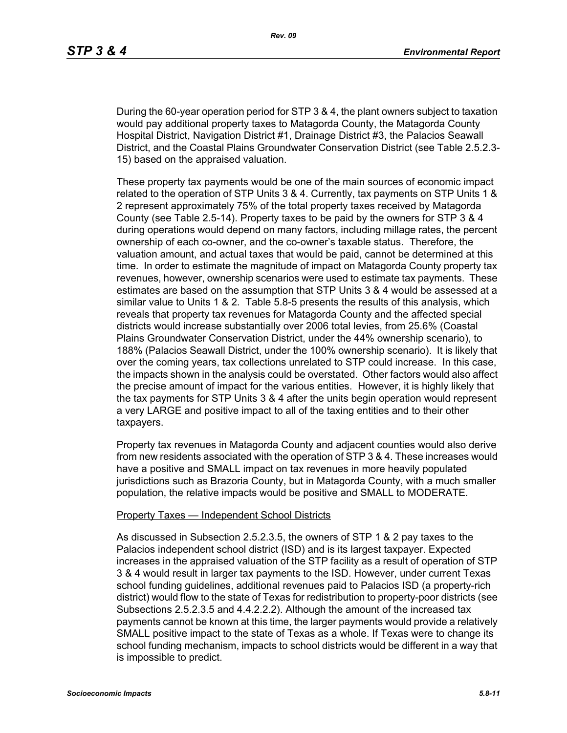During the 60-year operation period for STP 3 & 4, the plant owners subject to taxation would pay additional property taxes to Matagorda County, the Matagorda County Hospital District, Navigation District #1, Drainage District #3, the Palacios Seawall District, and the Coastal Plains Groundwater Conservation District (see Table 2.5.2.3- 15) based on the appraised valuation.

These property tax payments would be one of the main sources of economic impact related to the operation of STP Units 3 & 4. Currently, tax payments on STP Units 1 & 2 represent approximately 75% of the total property taxes received by Matagorda County (see Table 2.5-14). Property taxes to be paid by the owners for STP 3 & 4 during operations would depend on many factors, including millage rates, the percent ownership of each co-owner, and the co-owner's taxable status. Therefore, the valuation amount, and actual taxes that would be paid, cannot be determined at this time. In order to estimate the magnitude of impact on Matagorda County property tax revenues, however, ownership scenarios were used to estimate tax payments. These estimates are based on the assumption that STP Units 3 & 4 would be assessed at a similar value to Units 1 & 2. Table 5.8-5 presents the results of this analysis, which reveals that property tax revenues for Matagorda County and the affected special districts would increase substantially over 2006 total levies, from 25.6% (Coastal Plains Groundwater Conservation District, under the 44% ownership scenario), to 188% (Palacios Seawall District, under the 100% ownership scenario). It is likely that over the coming years, tax collections unrelated to STP could increase. In this case, the impacts shown in the analysis could be overstated. Other factors would also affect the precise amount of impact for the various entities. However, it is highly likely that the tax payments for STP Units 3 & 4 after the units begin operation would represent a very LARGE and positive impact to all of the taxing entities and to their other taxpayers.

Property tax revenues in Matagorda County and adjacent counties would also derive from new residents associated with the operation of STP 3 & 4. These increases would have a positive and SMALL impact on tax revenues in more heavily populated jurisdictions such as Brazoria County, but in Matagorda County, with a much smaller population, the relative impacts would be positive and SMALL to MODERATE.

#### Property Taxes — Independent School Districts

As discussed in Subsection 2.5.2.3.5, the owners of STP 1 & 2 pay taxes to the Palacios independent school district (ISD) and is its largest taxpayer. Expected increases in the appraised valuation of the STP facility as a result of operation of STP 3 & 4 would result in larger tax payments to the ISD. However, under current Texas school funding guidelines, additional revenues paid to Palacios ISD (a property-rich district) would flow to the state of Texas for redistribution to property-poor districts (see Subsections 2.5.2.3.5 and 4.4.2.2.2). Although the amount of the increased tax payments cannot be known at this time, the larger payments would provide a relatively SMALL positive impact to the state of Texas as a whole. If Texas were to change its school funding mechanism, impacts to school districts would be different in a way that is impossible to predict.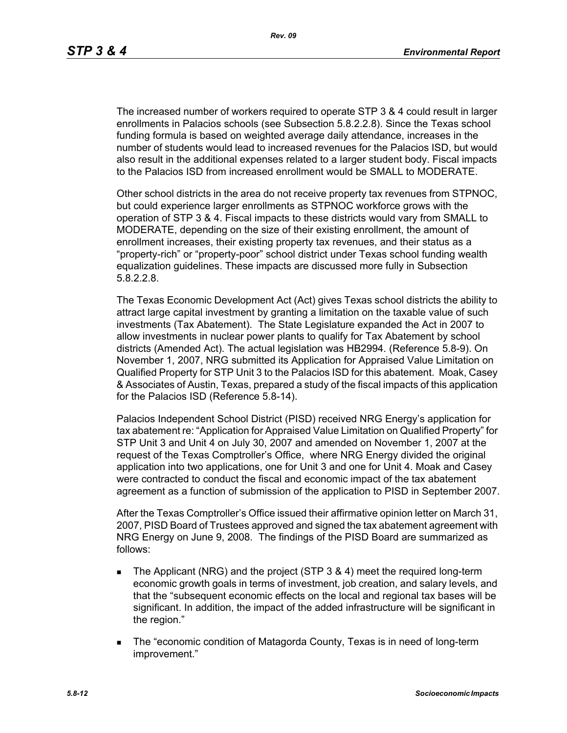The increased number of workers required to operate STP 3 & 4 could result in larger enrollments in Palacios schools (see Subsection 5.8.2.2.8). Since the Texas school funding formula is based on weighted average daily attendance, increases in the number of students would lead to increased revenues for the Palacios ISD, but would also result in the additional expenses related to a larger student body. Fiscal impacts to the Palacios ISD from increased enrollment would be SMALL to MODERATE.

Other school districts in the area do not receive property tax revenues from STPNOC, but could experience larger enrollments as STPNOC workforce grows with the operation of STP 3 & 4. Fiscal impacts to these districts would vary from SMALL to MODERATE, depending on the size of their existing enrollment, the amount of enrollment increases, their existing property tax revenues, and their status as a "property-rich" or "property-poor" school district under Texas school funding wealth equalization guidelines. These impacts are discussed more fully in Subsection 5.8.2.2.8.

The Texas Economic Development Act (Act) gives Texas school districts the ability to attract large capital investment by granting a limitation on the taxable value of such investments (Tax Abatement). The State Legislature expanded the Act in 2007 to allow investments in nuclear power plants to qualify for Tax Abatement by school districts (Amended Act). The actual legislation was HB2994. (Reference 5.8-9). On November 1, 2007, NRG submitted its Application for Appraised Value Limitation on Qualified Property for STP Unit 3 to the Palacios ISD for this abatement. Moak, Casey & Associates of Austin, Texas, prepared a study of the fiscal impacts of this application for the Palacios ISD (Reference 5.8-14).

Palacios Independent School District (PISD) received NRG Energy's application for tax abatement re: "Application for Appraised Value Limitation on Qualified Property" for STP Unit 3 and Unit 4 on July 30, 2007 and amended on November 1, 2007 at the request of the Texas Comptroller's Office, where NRG Energy divided the original application into two applications, one for Unit 3 and one for Unit 4. Moak and Casey were contracted to conduct the fiscal and economic impact of the tax abatement agreement as a function of submission of the application to PISD in September 2007.

After the Texas Comptroller's Office issued their affirmative opinion letter on March 31, 2007, PISD Board of Trustees approved and signed the tax abatement agreement with NRG Energy on June 9, 2008. The findings of the PISD Board are summarized as follows:

- The Applicant (NRG) and the project (STP  $3 \& 4$ ) meet the required long-term economic growth goals in terms of investment, job creation, and salary levels, and that the "subsequent economic effects on the local and regional tax bases will be significant. In addition, the impact of the added infrastructure will be significant in the region."
- The "economic condition of Matagorda County, Texas is in need of long-term improvement."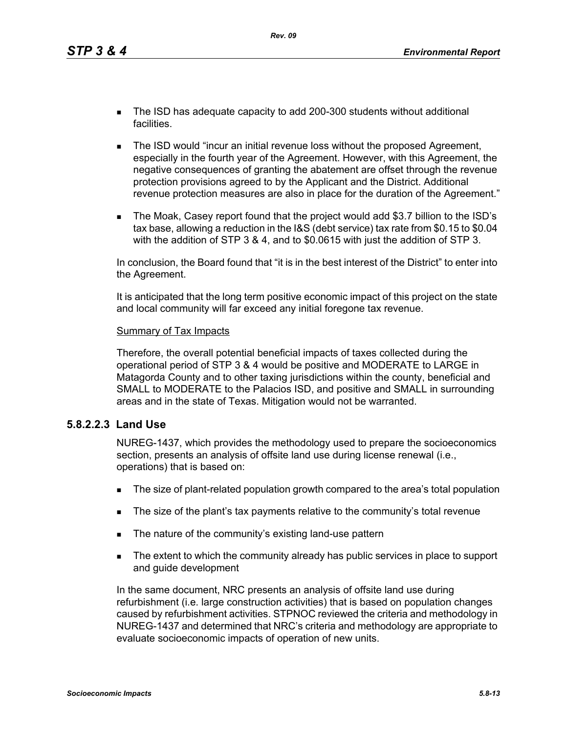*Rev. 09*

- The ISD has adequate capacity to add 200-300 students without additional facilities.
- **The ISD would "incur an initial revenue loss without the proposed Agreement,** especially in the fourth year of the Agreement. However, with this Agreement, the negative consequences of granting the abatement are offset through the revenue protection provisions agreed to by the Applicant and the District. Additional revenue protection measures are also in place for the duration of the Agreement."
- The Moak, Casey report found that the project would add \$3.7 billion to the ISD's tax base, allowing a reduction in the I&S (debt service) tax rate from \$0.15 to \$0.04 with the addition of STP 3 & 4, and to \$0.0615 with just the addition of STP 3.

In conclusion, the Board found that "it is in the best interest of the District" to enter into the Agreement.

It is anticipated that the long term positive economic impact of this project on the state and local community will far exceed any initial foregone tax revenue.

### Summary of Tax Impacts

Therefore, the overall potential beneficial impacts of taxes collected during the operational period of STP 3 & 4 would be positive and MODERATE to LARGE in Matagorda County and to other taxing jurisdictions within the county, beneficial and SMALL to MODERATE to the Palacios ISD, and positive and SMALL in surrounding areas and in the state of Texas. Mitigation would not be warranted.

### **5.8.2.2.3 Land Use**

NUREG-1437, which provides the methodology used to prepare the socioeconomics section, presents an analysis of offsite land use during license renewal (i.e., operations) that is based on:

- The size of plant-related population growth compared to the area's total population
- The size of the plant's tax payments relative to the community's total revenue
- The nature of the community's existing land-use pattern
- The extent to which the community already has public services in place to support and guide development

In the same document, NRC presents an analysis of offsite land use during refurbishment (i.e. large construction activities) that is based on population changes caused by refurbishment activities. STPNOC reviewed the criteria and methodology in NUREG-1437 and determined that NRC's criteria and methodology are appropriate to evaluate socioeconomic impacts of operation of new units.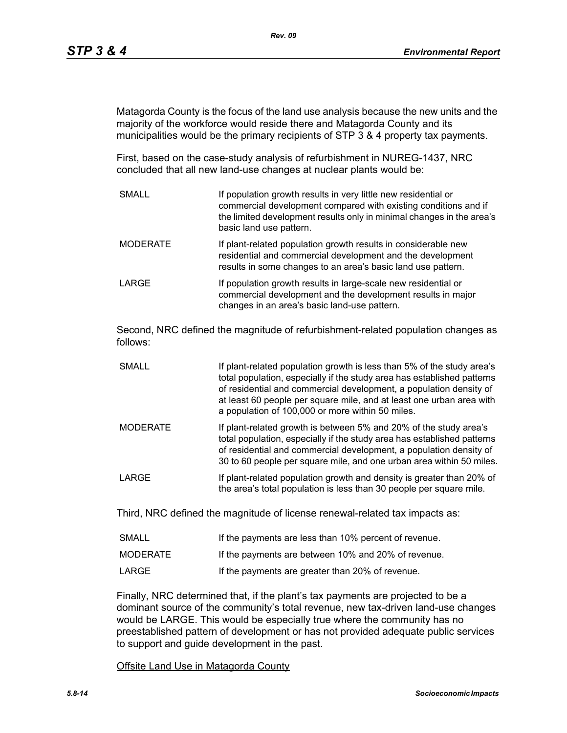Matagorda County is the focus of the land use analysis because the new units and the majority of the workforce would reside there and Matagorda County and its municipalities would be the primary recipients of STP 3 & 4 property tax payments.

First, based on the case-study analysis of refurbishment in NUREG-1437, NRC concluded that all new land-use changes at nuclear plants would be:

SMALL **If population growth results in very little new residential or** commercial development compared with existing conditions and if the limited development results only in minimal changes in the area's basic land use pattern. MODERATE **If plant-related population growth results in considerable new** residential and commercial development and the development results in some changes to an area's basic land use pattern. LARGE **If population growth results in large-scale new residential or** commercial development and the development results in major changes in an area's basic land-use pattern.

Second, NRC defined the magnitude of refurbishment-related population changes as follows:

- SMALL **If plant-related population growth is less than 5% of the study area's** total population, especially if the study area has established patterns of residential and commercial development, a population density of at least 60 people per square mile, and at least one urban area with a population of 100,000 or more within 50 miles.
- MODERATE If plant-related growth is between 5% and 20% of the study area's total population, especially if the study area has established patterns of residential and commercial development, a population density of 30 to 60 people per square mile, and one urban area within 50 miles.
- LARGE **If plant-related population growth and density is greater than 20% of** the area's total population is less than 30 people per square mile.

Third, NRC defined the magnitude of license renewal-related tax impacts as:

| <b>SMALL</b> | If the payments are less than 10% percent of revenue. |
|--------------|-------------------------------------------------------|
| MODERATE     | If the payments are between 10% and 20% of revenue.   |
| LARGE        | If the payments are greater than 20% of revenue.      |

Finally, NRC determined that, if the plant's tax payments are projected to be a dominant source of the community's total revenue, new tax-driven land-use changes would be LARGE. This would be especially true where the community has no preestablished pattern of development or has not provided adequate public services to support and guide development in the past.

Offsite Land Use in Matagorda County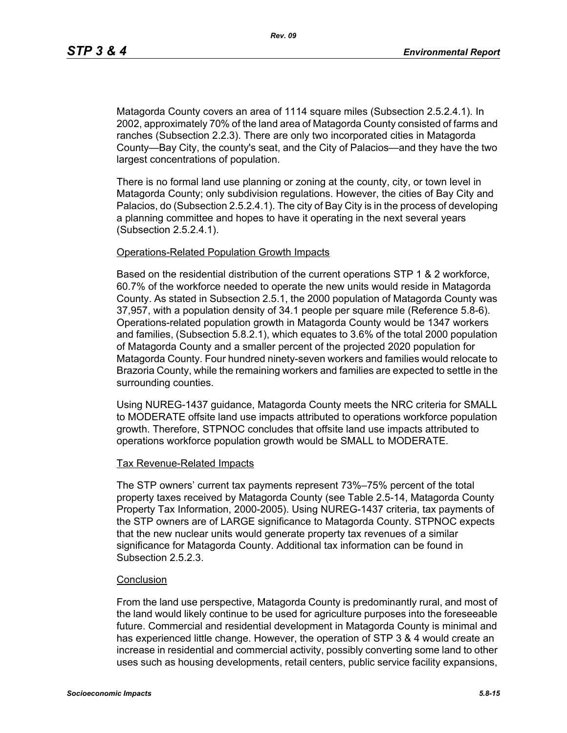Matagorda County covers an area of 1114 square miles (Subsection 2.5.2.4.1). In 2002, approximately 70% of the land area of Matagorda County consisted of farms and ranches (Subsection 2.2.3). There are only two incorporated cities in Matagorda County—Bay City, the county's seat, and the City of Palacios—and they have the two largest concentrations of population.

There is no formal land use planning or zoning at the county, city, or town level in Matagorda County; only subdivision regulations. However, the cities of Bay City and Palacios, do (Subsection 2.5.2.4.1). The city of Bay City is in the process of developing a planning committee and hopes to have it operating in the next several years (Subsection 2.5.2.4.1).

#### Operations-Related Population Growth Impacts

Based on the residential distribution of the current operations STP 1 & 2 workforce, 60.7% of the workforce needed to operate the new units would reside in Matagorda County. As stated in Subsection 2.5.1, the 2000 population of Matagorda County was 37,957, with a population density of 34.1 people per square mile (Reference 5.8-6). Operations-related population growth in Matagorda County would be 1347 workers and families, (Subsection 5.8.2.1), which equates to 3.6% of the total 2000 population of Matagorda County and a smaller percent of the projected 2020 population for Matagorda County. Four hundred ninety-seven workers and families would relocate to Brazoria County, while the remaining workers and families are expected to settle in the surrounding counties.

Using NUREG-1437 guidance, Matagorda County meets the NRC criteria for SMALL to MODERATE offsite land use impacts attributed to operations workforce population growth. Therefore, STPNOC concludes that offsite land use impacts attributed to operations workforce population growth would be SMALL to MODERATE.

#### Tax Revenue-Related Impacts

The STP owners' current tax payments represent 73%–75% percent of the total property taxes received by Matagorda County (see Table 2.5-14, Matagorda County Property Tax Information, 2000-2005). Using NUREG-1437 criteria, tax payments of the STP owners are of LARGE significance to Matagorda County. STPNOC expects that the new nuclear units would generate property tax revenues of a similar significance for Matagorda County. Additional tax information can be found in Subsection 2.5.2.3

#### **Conclusion**

From the land use perspective, Matagorda County is predominantly rural, and most of the land would likely continue to be used for agriculture purposes into the foreseeable future. Commercial and residential development in Matagorda County is minimal and has experienced little change. However, the operation of STP 3 & 4 would create an increase in residential and commercial activity, possibly converting some land to other uses such as housing developments, retail centers, public service facility expansions,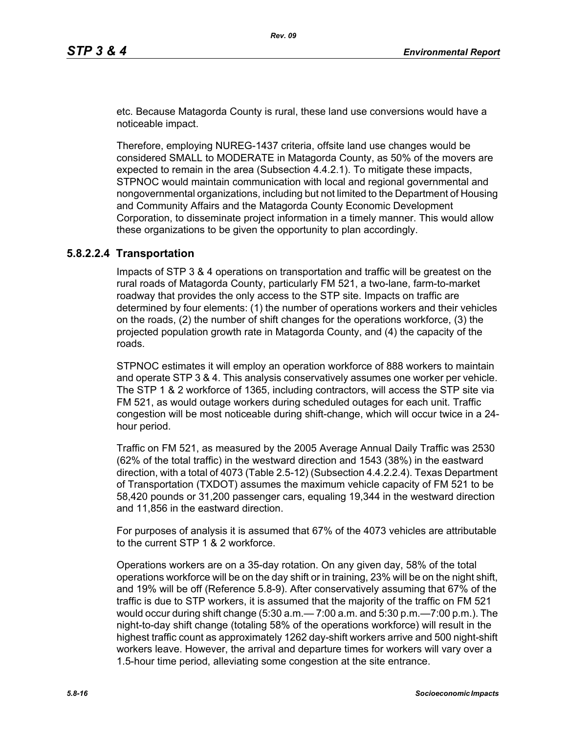etc. Because Matagorda County is rural, these land use conversions would have a noticeable impact.

Therefore, employing NUREG-1437 criteria, offsite land use changes would be considered SMALL to MODERATE in Matagorda County, as 50% of the movers are expected to remain in the area (Subsection 4.4.2.1). To mitigate these impacts, STPNOC would maintain communication with local and regional governmental and nongovernmental organizations, including but not limited to the Department of Housing and Community Affairs and the Matagorda County Economic Development Corporation, to disseminate project information in a timely manner. This would allow these organizations to be given the opportunity to plan accordingly.

### **5.8.2.2.4 Transportation**

Impacts of STP 3 & 4 operations on transportation and traffic will be greatest on the rural roads of Matagorda County, particularly FM 521, a two-lane, farm-to-market roadway that provides the only access to the STP site. Impacts on traffic are determined by four elements: (1) the number of operations workers and their vehicles on the roads, (2) the number of shift changes for the operations workforce, (3) the projected population growth rate in Matagorda County, and (4) the capacity of the roads.

STPNOC estimates it will employ an operation workforce of 888 workers to maintain and operate STP 3 & 4. This analysis conservatively assumes one worker per vehicle. The STP 1 & 2 workforce of 1365, including contractors, will access the STP site via FM 521, as would outage workers during scheduled outages for each unit. Traffic congestion will be most noticeable during shift-change, which will occur twice in a 24 hour period.

Traffic on FM 521, as measured by the 2005 Average Annual Daily Traffic was 2530 (62% of the total traffic) in the westward direction and 1543 (38%) in the eastward direction, with a total of 4073 (Table 2.5-12) (Subsection 4.4.2.2.4). Texas Department of Transportation (TXDOT) assumes the maximum vehicle capacity of FM 521 to be 58,420 pounds or 31,200 passenger cars, equaling 19,344 in the westward direction and 11,856 in the eastward direction.

For purposes of analysis it is assumed that 67% of the 4073 vehicles are attributable to the current STP 1 & 2 workforce.

Operations workers are on a 35-day rotation. On any given day, 58% of the total operations workforce will be on the day shift or in training, 23% will be on the night shift, and 19% will be off (Reference 5.8-9). After conservatively assuming that 67% of the traffic is due to STP workers, it is assumed that the majority of the traffic on FM 521 would occur during shift change (5:30 a.m.— 7:00 a.m. and 5:30 p.m.—7:00 p.m.). The night-to-day shift change (totaling 58% of the operations workforce) will result in the highest traffic count as approximately 1262 day-shift workers arrive and 500 night-shift workers leave. However, the arrival and departure times for workers will vary over a 1.5-hour time period, alleviating some congestion at the site entrance.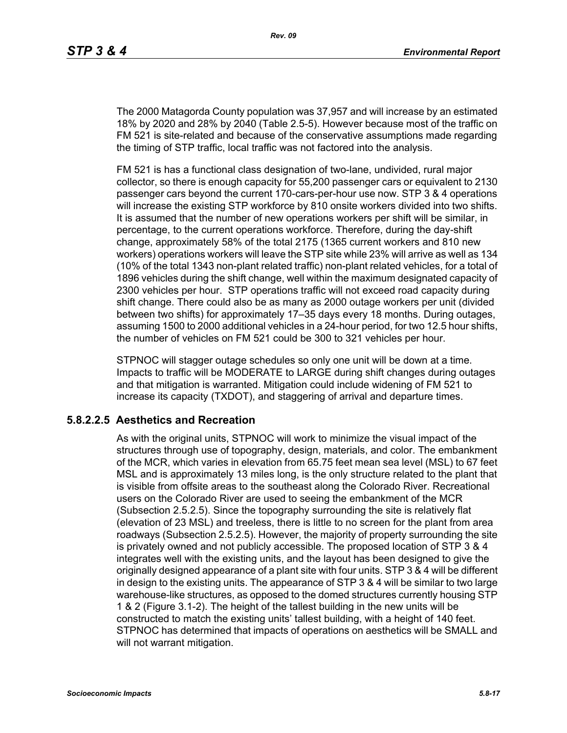The 2000 Matagorda County population was 37,957 and will increase by an estimated 18% by 2020 and 28% by 2040 (Table 2.5-5). However because most of the traffic on FM 521 is site-related and because of the conservative assumptions made regarding the timing of STP traffic, local traffic was not factored into the analysis.

FM 521 is has a functional class designation of two-lane, undivided, rural major collector, so there is enough capacity for 55,200 passenger cars or equivalent to 2130 passenger cars beyond the current 170-cars-per-hour use now. STP 3 & 4 operations will increase the existing STP workforce by 810 onsite workers divided into two shifts. It is assumed that the number of new operations workers per shift will be similar, in percentage, to the current operations workforce. Therefore, during the day-shift change, approximately 58% of the total 2175 (1365 current workers and 810 new workers) operations workers will leave the STP site while 23% will arrive as well as 134 (10% of the total 1343 non-plant related traffic) non-plant related vehicles, for a total of 1896 vehicles during the shift change, well within the maximum designated capacity of 2300 vehicles per hour. STP operations traffic will not exceed road capacity during shift change. There could also be as many as 2000 outage workers per unit (divided between two shifts) for approximately 17–35 days every 18 months. During outages, assuming 1500 to 2000 additional vehicles in a 24-hour period, for two 12.5 hour shifts, the number of vehicles on FM 521 could be 300 to 321 vehicles per hour.

STPNOC will stagger outage schedules so only one unit will be down at a time. Impacts to traffic will be MODERATE to LARGE during shift changes during outages and that mitigation is warranted. Mitigation could include widening of FM 521 to increase its capacity (TXDOT), and staggering of arrival and departure times.

### **5.8.2.2.5 Aesthetics and Recreation**

As with the original units, STPNOC will work to minimize the visual impact of the structures through use of topography, design, materials, and color. The embankment of the MCR, which varies in elevation from 65.75 feet mean sea level (MSL) to 67 feet MSL and is approximately 13 miles long, is the only structure related to the plant that is visible from offsite areas to the southeast along the Colorado River. Recreational users on the Colorado River are used to seeing the embankment of the MCR (Subsection 2.5.2.5). Since the topography surrounding the site is relatively flat (elevation of 23 MSL) and treeless, there is little to no screen for the plant from area roadways (Subsection 2.5.2.5). However, the majority of property surrounding the site is privately owned and not publicly accessible. The proposed location of STP 3 & 4 integrates well with the existing units, and the layout has been designed to give the originally designed appearance of a plant site with four units. STP 3 & 4 will be different in design to the existing units. The appearance of STP 3 & 4 will be similar to two large warehouse-like structures, as opposed to the domed structures currently housing STP 1 & 2 (Figure 3.1-2). The height of the tallest building in the new units will be constructed to match the existing units' tallest building, with a height of 140 feet. STPNOC has determined that impacts of operations on aesthetics will be SMALL and will not warrant mitigation.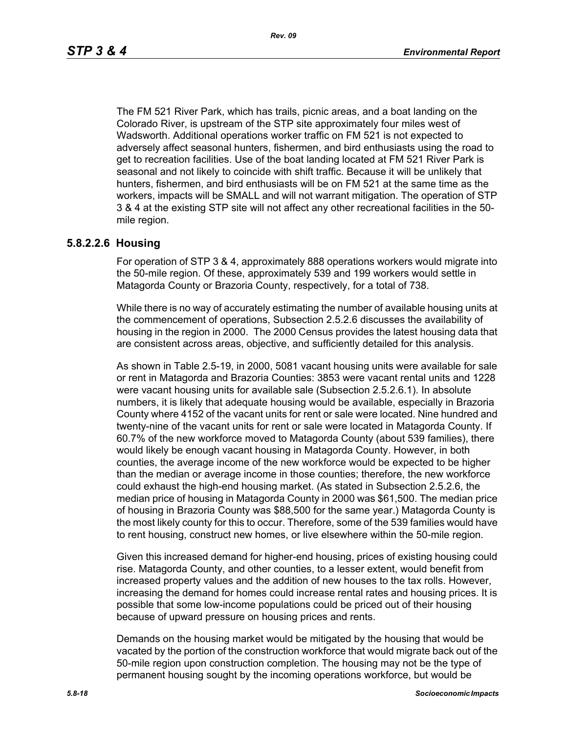The FM 521 River Park, which has trails, picnic areas, and a boat landing on the Colorado River, is upstream of the STP site approximately four miles west of Wadsworth. Additional operations worker traffic on FM 521 is not expected to adversely affect seasonal hunters, fishermen, and bird enthusiasts using the road to get to recreation facilities. Use of the boat landing located at FM 521 River Park is seasonal and not likely to coincide with shift traffic. Because it will be unlikely that hunters, fishermen, and bird enthusiasts will be on FM 521 at the same time as the workers, impacts will be SMALL and will not warrant mitigation. The operation of STP 3 & 4 at the existing STP site will not affect any other recreational facilities in the 50 mile region.

#### **5.8.2.2.6 Housing**

For operation of STP 3 & 4, approximately 888 operations workers would migrate into the 50-mile region. Of these, approximately 539 and 199 workers would settle in Matagorda County or Brazoria County, respectively, for a total of 738.

While there is no way of accurately estimating the number of available housing units at the commencement of operations, Subsection 2.5.2.6 discusses the availability of housing in the region in 2000. The 2000 Census provides the latest housing data that are consistent across areas, objective, and sufficiently detailed for this analysis.

As shown in Table 2.5-19, in 2000, 5081 vacant housing units were available for sale or rent in Matagorda and Brazoria Counties: 3853 were vacant rental units and 1228 were vacant housing units for available sale (Subsection 2.5.2.6.1). In absolute numbers, it is likely that adequate housing would be available, especially in Brazoria County where 4152 of the vacant units for rent or sale were located. Nine hundred and twenty-nine of the vacant units for rent or sale were located in Matagorda County. If 60.7% of the new workforce moved to Matagorda County (about 539 families), there would likely be enough vacant housing in Matagorda County. However, in both counties, the average income of the new workforce would be expected to be higher than the median or average income in those counties; therefore, the new workforce could exhaust the high-end housing market. (As stated in Subsection 2.5.2.6, the median price of housing in Matagorda County in 2000 was \$61,500. The median price of housing in Brazoria County was \$88,500 for the same year.) Matagorda County is the most likely county for this to occur. Therefore, some of the 539 families would have to rent housing, construct new homes, or live elsewhere within the 50-mile region.

Given this increased demand for higher-end housing, prices of existing housing could rise. Matagorda County, and other counties, to a lesser extent, would benefit from increased property values and the addition of new houses to the tax rolls. However, increasing the demand for homes could increase rental rates and housing prices. It is possible that some low-income populations could be priced out of their housing because of upward pressure on housing prices and rents.

Demands on the housing market would be mitigated by the housing that would be vacated by the portion of the construction workforce that would migrate back out of the 50-mile region upon construction completion. The housing may not be the type of permanent housing sought by the incoming operations workforce, but would be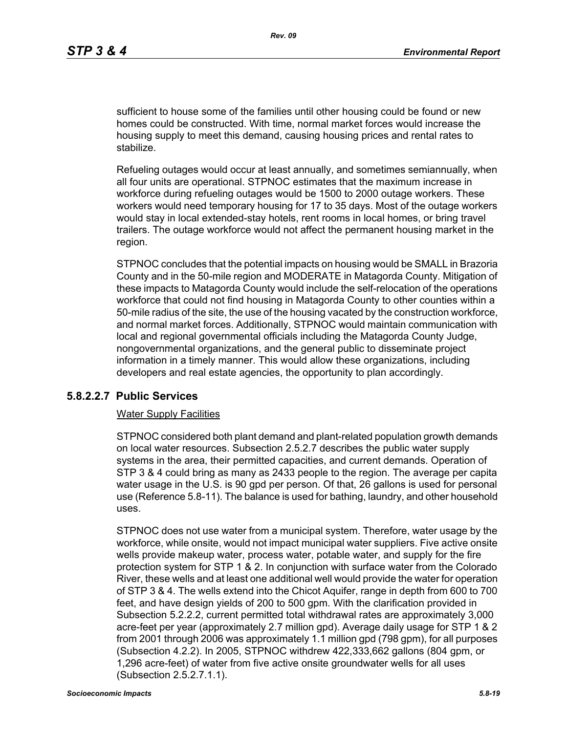sufficient to house some of the families until other housing could be found or new homes could be constructed. With time, normal market forces would increase the housing supply to meet this demand, causing housing prices and rental rates to stabilize.

Refueling outages would occur at least annually, and sometimes semiannually, when all four units are operational. STPNOC estimates that the maximum increase in workforce during refueling outages would be 1500 to 2000 outage workers. These workers would need temporary housing for 17 to 35 days. Most of the outage workers would stay in local extended-stay hotels, rent rooms in local homes, or bring travel trailers. The outage workforce would not affect the permanent housing market in the region.

STPNOC concludes that the potential impacts on housing would be SMALL in Brazoria County and in the 50-mile region and MODERATE in Matagorda County. Mitigation of these impacts to Matagorda County would include the self-relocation of the operations workforce that could not find housing in Matagorda County to other counties within a 50-mile radius of the site, the use of the housing vacated by the construction workforce, and normal market forces. Additionally, STPNOC would maintain communication with local and regional governmental officials including the Matagorda County Judge, nongovernmental organizations, and the general public to disseminate project information in a timely manner. This would allow these organizations, including developers and real estate agencies, the opportunity to plan accordingly.

### **5.8.2.2.7 Public Services**

#### Water Supply Facilities

STPNOC considered both plant demand and plant-related population growth demands on local water resources. Subsection 2.5.2.7 describes the public water supply systems in the area, their permitted capacities, and current demands. Operation of STP 3 & 4 could bring as many as 2433 people to the region. The average per capita water usage in the U.S. is 90 gpd per person. Of that, 26 gallons is used for personal use (Reference 5.8-11). The balance is used for bathing, laundry, and other household uses.

STPNOC does not use water from a municipal system. Therefore, water usage by the workforce, while onsite, would not impact municipal water suppliers. Five active onsite wells provide makeup water, process water, potable water, and supply for the fire protection system for STP 1 & 2. In conjunction with surface water from the Colorado River, these wells and at least one additional well would provide the water for operation of STP 3 & 4. The wells extend into the Chicot Aquifer, range in depth from 600 to 700 feet, and have design yields of 200 to 500 gpm. With the clarification provided in Subsection 5.2.2.2, current permitted total withdrawal rates are approximately 3,000 acre-feet per year (approximately 2.7 million gpd). Average daily usage for STP 1 & 2 from 2001 through 2006 was approximately 1.1 million gpd (798 gpm), for all purposes (Subsection 4.2.2). In 2005, STPNOC withdrew 422,333,662 gallons (804 gpm, or 1,296 acre-feet) of water from five active onsite groundwater wells for all uses (Subsection 2.5.2.7.1.1).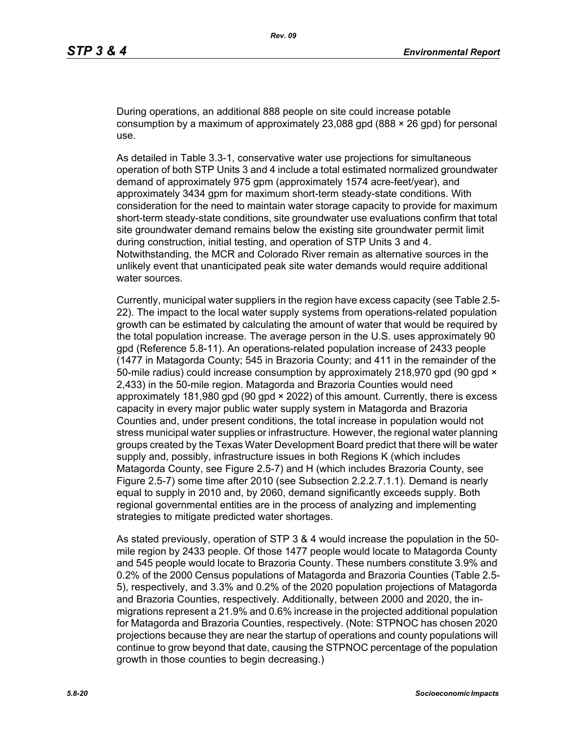During operations, an additional 888 people on site could increase potable consumption by a maximum of approximately 23,088 gpd (888  $\times$  26 gpd) for personal use.

As detailed in Table 3.3-1, conservative water use projections for simultaneous operation of both STP Units 3 and 4 include a total estimated normalized groundwater demand of approximately 975 gpm (approximately 1574 acre-feet/year), and approximately 3434 gpm for maximum short-term steady-state conditions. With consideration for the need to maintain water storage capacity to provide for maximum short-term steady-state conditions, site groundwater use evaluations confirm that total site groundwater demand remains below the existing site groundwater permit limit during construction, initial testing, and operation of STP Units 3 and 4. Notwithstanding, the MCR and Colorado River remain as alternative sources in the unlikely event that unanticipated peak site water demands would require additional water sources.

Currently, municipal water suppliers in the region have excess capacity (see Table 2.5- 22). The impact to the local water supply systems from operations-related population growth can be estimated by calculating the amount of water that would be required by the total population increase. The average person in the U.S. uses approximately 90 gpd (Reference 5.8-11). An operations-related population increase of 2433 people (1477 in Matagorda County; 545 in Brazoria County; and 411 in the remainder of the 50-mile radius) could increase consumption by approximately 218,970 gpd (90 gpd  $\times$ 2,433) in the 50-mile region. Matagorda and Brazoria Counties would need approximately 181,980 gpd (90 gpd × 2022) of this amount. Currently, there is excess capacity in every major public water supply system in Matagorda and Brazoria Counties and, under present conditions, the total increase in population would not stress municipal water supplies or infrastructure. However, the regional water planning groups created by the Texas Water Development Board predict that there will be water supply and, possibly, infrastructure issues in both Regions K (which includes Matagorda County, see Figure 2.5-7) and H (which includes Brazoria County, see Figure 2.5-7) some time after 2010 (see Subsection 2.2.2.7.1.1). Demand is nearly equal to supply in 2010 and, by 2060, demand significantly exceeds supply. Both regional governmental entities are in the process of analyzing and implementing strategies to mitigate predicted water shortages.

As stated previously, operation of STP 3 & 4 would increase the population in the 50 mile region by 2433 people. Of those 1477 people would locate to Matagorda County and 545 people would locate to Brazoria County. These numbers constitute 3.9% and 0.2% of the 2000 Census populations of Matagorda and Brazoria Counties (Table 2.5- 5), respectively, and 3.3% and 0.2% of the 2020 population projections of Matagorda and Brazoria Counties, respectively. Additionally, between 2000 and 2020, the inmigrations represent a 21.9% and 0.6% increase in the projected additional population for Matagorda and Brazoria Counties, respectively. (Note: STPNOC has chosen 2020 projections because they are near the startup of operations and county populations will continue to grow beyond that date, causing the STPNOC percentage of the population growth in those counties to begin decreasing.)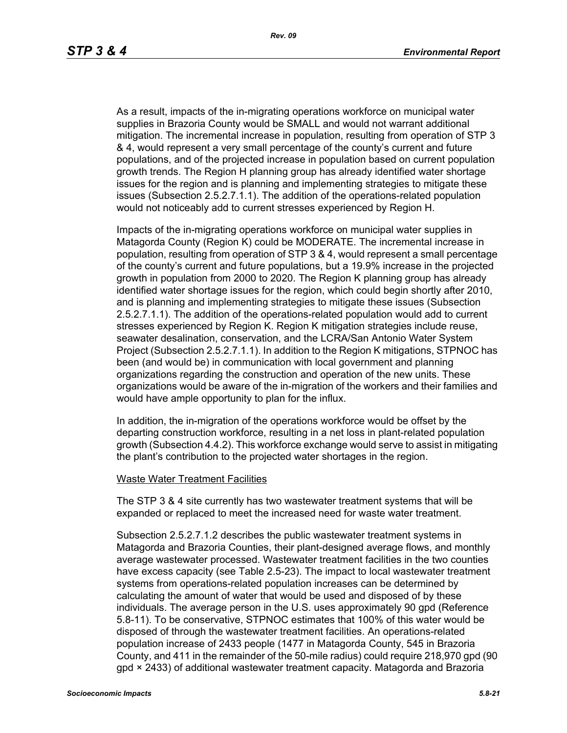As a result, impacts of the in-migrating operations workforce on municipal water supplies in Brazoria County would be SMALL and would not warrant additional mitigation. The incremental increase in population, resulting from operation of STP 3 & 4, would represent a very small percentage of the county's current and future populations, and of the projected increase in population based on current population growth trends. The Region H planning group has already identified water shortage issues for the region and is planning and implementing strategies to mitigate these issues (Subsection 2.5.2.7.1.1). The addition of the operations-related population would not noticeably add to current stresses experienced by Region H.

Impacts of the in-migrating operations workforce on municipal water supplies in Matagorda County (Region K) could be MODERATE. The incremental increase in population, resulting from operation of STP 3 & 4, would represent a small percentage of the county's current and future populations, but a 19.9% increase in the projected growth in population from 2000 to 2020. The Region K planning group has already identified water shortage issues for the region, which could begin shortly after 2010, and is planning and implementing strategies to mitigate these issues (Subsection 2.5.2.7.1.1). The addition of the operations-related population would add to current stresses experienced by Region K. Region K mitigation strategies include reuse, seawater desalination, conservation, and the LCRA/San Antonio Water System Project (Subsection 2.5.2.7.1.1). In addition to the Region K mitigations, STPNOC has been (and would be) in communication with local government and planning organizations regarding the construction and operation of the new units. These organizations would be aware of the in-migration of the workers and their families and would have ample opportunity to plan for the influx.

In addition, the in-migration of the operations workforce would be offset by the departing construction workforce, resulting in a net loss in plant-related population growth (Subsection 4.4.2). This workforce exchange would serve to assist in mitigating the plant's contribution to the projected water shortages in the region.

#### Waste Water Treatment Facilities

The STP 3 & 4 site currently has two wastewater treatment systems that will be expanded or replaced to meet the increased need for waste water treatment.

Subsection 2.5.2.7.1.2 describes the public wastewater treatment systems in Matagorda and Brazoria Counties, their plant-designed average flows, and monthly average wastewater processed. Wastewater treatment facilities in the two counties have excess capacity (see Table 2.5-23). The impact to local wastewater treatment systems from operations-related population increases can be determined by calculating the amount of water that would be used and disposed of by these individuals. The average person in the U.S. uses approximately 90 gpd (Reference 5.8-11). To be conservative, STPNOC estimates that 100% of this water would be disposed of through the wastewater treatment facilities. An operations-related population increase of 2433 people (1477 in Matagorda County, 545 in Brazoria County, and 411 in the remainder of the 50-mile radius) could require 218,970 gpd (90 gpd × 2433) of additional wastewater treatment capacity. Matagorda and Brazoria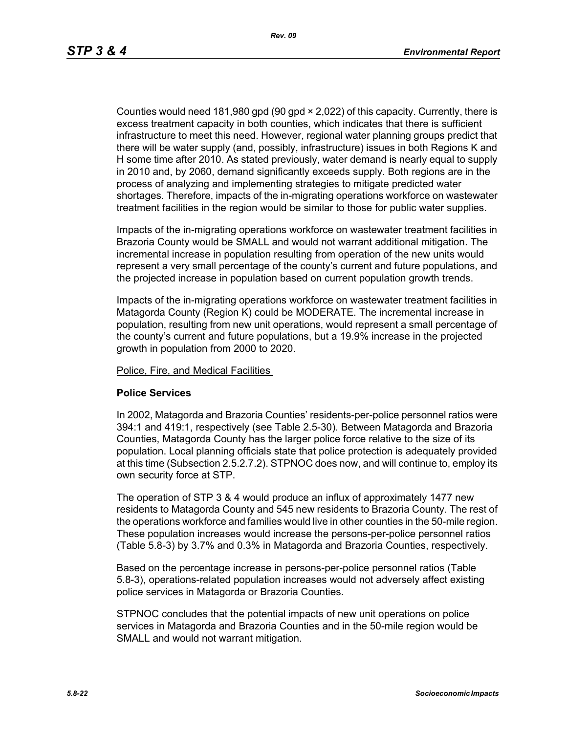Counties would need 181,980 gpd (90 gpd × 2,022) of this capacity. Currently, there is excess treatment capacity in both counties, which indicates that there is sufficient infrastructure to meet this need. However, regional water planning groups predict that there will be water supply (and, possibly, infrastructure) issues in both Regions K and H some time after 2010. As stated previously, water demand is nearly equal to supply in 2010 and, by 2060, demand significantly exceeds supply. Both regions are in the process of analyzing and implementing strategies to mitigate predicted water shortages. Therefore, impacts of the in-migrating operations workforce on wastewater treatment facilities in the region would be similar to those for public water supplies.

Impacts of the in-migrating operations workforce on wastewater treatment facilities in Brazoria County would be SMALL and would not warrant additional mitigation. The incremental increase in population resulting from operation of the new units would represent a very small percentage of the county's current and future populations, and the projected increase in population based on current population growth trends.

Impacts of the in-migrating operations workforce on wastewater treatment facilities in Matagorda County (Region K) could be MODERATE. The incremental increase in population, resulting from new unit operations, would represent a small percentage of the county's current and future populations, but a 19.9% increase in the projected growth in population from 2000 to 2020.

Police, Fire, and Medical Facilities

#### **Police Services**

In 2002, Matagorda and Brazoria Counties' residents-per-police personnel ratios were 394:1 and 419:1, respectively (see Table 2.5-30). Between Matagorda and Brazoria Counties, Matagorda County has the larger police force relative to the size of its population. Local planning officials state that police protection is adequately provided at this time (Subsection 2.5.2.7.2). STPNOC does now, and will continue to, employ its own security force at STP.

The operation of STP 3 & 4 would produce an influx of approximately 1477 new residents to Matagorda County and 545 new residents to Brazoria County. The rest of the operations workforce and families would live in other counties in the 50-mile region. These population increases would increase the persons-per-police personnel ratios (Table 5.8-3) by 3.7% and 0.3% in Matagorda and Brazoria Counties, respectively.

Based on the percentage increase in persons-per-police personnel ratios (Table 5.8-3), operations-related population increases would not adversely affect existing police services in Matagorda or Brazoria Counties.

STPNOC concludes that the potential impacts of new unit operations on police services in Matagorda and Brazoria Counties and in the 50-mile region would be SMALL and would not warrant mitigation.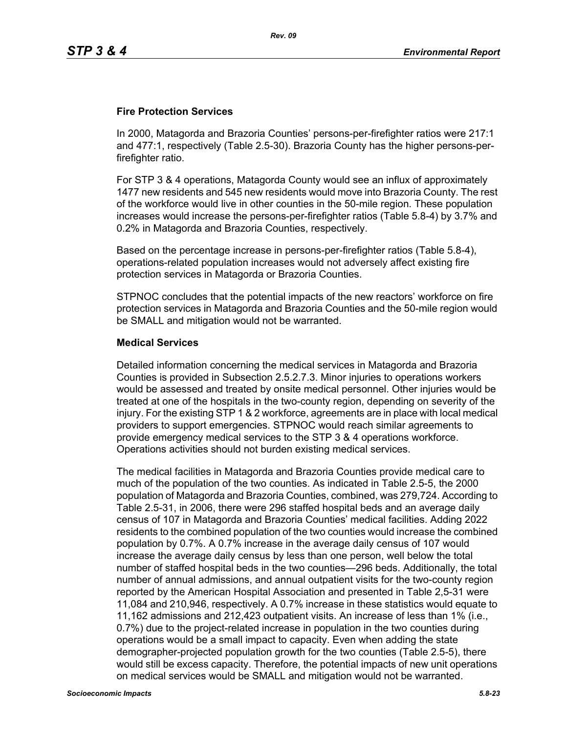### **Fire Protection Services**

In 2000, Matagorda and Brazoria Counties' persons-per-firefighter ratios were 217:1 and 477:1, respectively (Table 2.5-30). Brazoria County has the higher persons-perfirefighter ratio.

For STP 3 & 4 operations, Matagorda County would see an influx of approximately 1477 new residents and 545 new residents would move into Brazoria County. The rest of the workforce would live in other counties in the 50-mile region. These population increases would increase the persons-per-firefighter ratios (Table 5.8-4) by 3.7% and 0.2% in Matagorda and Brazoria Counties, respectively.

Based on the percentage increase in persons-per-firefighter ratios (Table 5.8-4), operations-related population increases would not adversely affect existing fire protection services in Matagorda or Brazoria Counties.

STPNOC concludes that the potential impacts of the new reactors' workforce on fire protection services in Matagorda and Brazoria Counties and the 50-mile region would be SMALL and mitigation would not be warranted.

### **Medical Services**

Detailed information concerning the medical services in Matagorda and Brazoria Counties is provided in Subsection 2.5.2.7.3. Minor injuries to operations workers would be assessed and treated by onsite medical personnel. Other injuries would be treated at one of the hospitals in the two-county region, depending on severity of the injury. For the existing STP 1 & 2 workforce, agreements are in place with local medical providers to support emergencies. STPNOC would reach similar agreements to provide emergency medical services to the STP 3 & 4 operations workforce. Operations activities should not burden existing medical services.

The medical facilities in Matagorda and Brazoria Counties provide medical care to much of the population of the two counties. As indicated in Table 2.5-5, the 2000 population of Matagorda and Brazoria Counties, combined, was 279,724. According to Table 2.5-31, in 2006, there were 296 staffed hospital beds and an average daily census of 107 in Matagorda and Brazoria Counties' medical facilities. Adding 2022 residents to the combined population of the two counties would increase the combined population by 0.7%. A 0.7% increase in the average daily census of 107 would increase the average daily census by less than one person, well below the total number of staffed hospital beds in the two counties—296 beds. Additionally, the total number of annual admissions, and annual outpatient visits for the two-county region reported by the American Hospital Association and presented in Table 2,5-31 were 11,084 and 210,946, respectively. A 0.7% increase in these statistics would equate to 11,162 admissions and 212,423 outpatient visits. An increase of less than 1% (i.e., 0.7%) due to the project-related increase in population in the two counties during operations would be a small impact to capacity. Even when adding the state demographer-projected population growth for the two counties (Table 2.5-5), there would still be excess capacity. Therefore, the potential impacts of new unit operations on medical services would be SMALL and mitigation would not be warranted.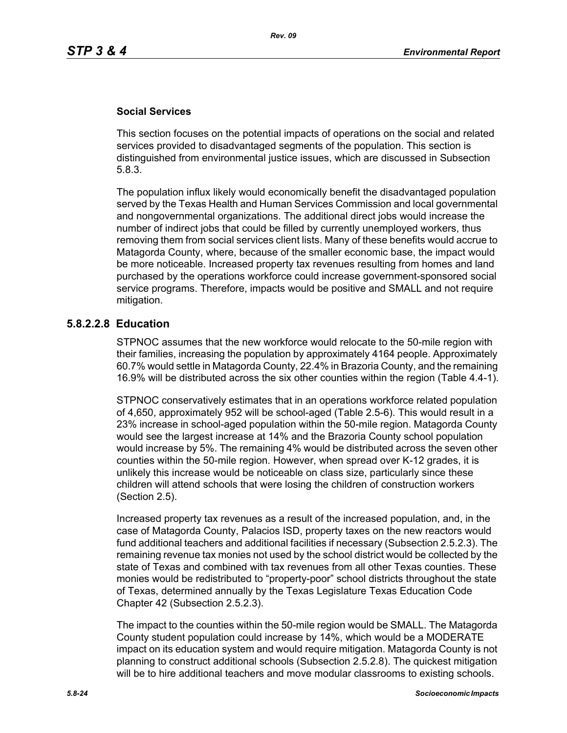### **Social Services**

This section focuses on the potential impacts of operations on the social and related services provided to disadvantaged segments of the population. This section is distinguished from environmental justice issues, which are discussed in Subsection 5.8.3.

The population influx likely would economically benefit the disadvantaged population served by the Texas Health and Human Services Commission and local governmental and nongovernmental organizations. The additional direct jobs would increase the number of indirect jobs that could be filled by currently unemployed workers, thus removing them from social services client lists. Many of these benefits would accrue to Matagorda County, where, because of the smaller economic base, the impact would be more noticeable. Increased property tax revenues resulting from homes and land purchased by the operations workforce could increase government-sponsored social service programs. Therefore, impacts would be positive and SMALL and not require mitigation.

### **5.8.2.2.8 Education**

STPNOC assumes that the new workforce would relocate to the 50-mile region with their families, increasing the population by approximately 4164 people. Approximately 60.7% would settle in Matagorda County, 22.4% in Brazoria County, and the remaining 16.9% will be distributed across the six other counties within the region (Table 4.4-1).

STPNOC conservatively estimates that in an operations workforce related population of 4,650, approximately 952 will be school-aged (Table 2.5-6). This would result in a 23% increase in school-aged population within the 50-mile region. Matagorda County would see the largest increase at 14% and the Brazoria County school population would increase by 5%. The remaining 4% would be distributed across the seven other counties within the 50-mile region. However, when spread over K-12 grades, it is unlikely this increase would be noticeable on class size, particularly since these children will attend schools that were losing the children of construction workers (Section 2.5).

Increased property tax revenues as a result of the increased population, and, in the case of Matagorda County, Palacios ISD, property taxes on the new reactors would fund additional teachers and additional facilities if necessary (Subsection 2.5.2.3). The remaining revenue tax monies not used by the school district would be collected by the state of Texas and combined with tax revenues from all other Texas counties. These monies would be redistributed to "property-poor" school districts throughout the state of Texas, determined annually by the Texas Legislature Texas Education Code Chapter 42 (Subsection 2.5.2.3).

The impact to the counties within the 50-mile region would be SMALL. The Matagorda County student population could increase by 14%, which would be a MODERATE impact on its education system and would require mitigation. Matagorda County is not planning to construct additional schools (Subsection 2.5.2.8). The quickest mitigation will be to hire additional teachers and move modular classrooms to existing schools.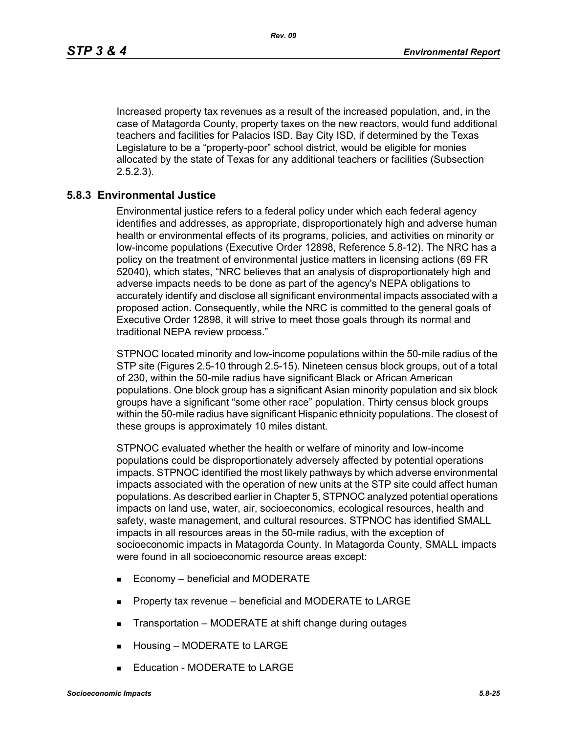Increased property tax revenues as a result of the increased population, and, in the case of Matagorda County, property taxes on the new reactors, would fund additional teachers and facilities for Palacios ISD. Bay City ISD, if determined by the Texas Legislature to be a "property-poor" school district, would be eligible for monies allocated by the state of Texas for any additional teachers or facilities (Subsection 2.5.2.3).

### **5.8.3 Environmental Justice**

Environmental justice refers to a federal policy under which each federal agency identifies and addresses, as appropriate, disproportionately high and adverse human health or environmental effects of its programs, policies, and activities on minority or low-income populations (Executive Order 12898, Reference 5.8-12). The NRC has a policy on the treatment of environmental justice matters in licensing actions (69 FR 52040), which states, "NRC believes that an analysis of disproportionately high and adverse impacts needs to be done as part of the agency's NEPA obligations to accurately identify and disclose all significant environmental impacts associated with a proposed action. Consequently, while the NRC is committed to the general goals of Executive Order 12898, it will strive to meet those goals through its normal and traditional NEPA review process."

STPNOC located minority and low-income populations within the 50-mile radius of the STP site (Figures 2.5-10 through 2.5-15). Nineteen census block groups, out of a total of 230, within the 50-mile radius have significant Black or African American populations. One block group has a significant Asian minority population and six block groups have a significant "some other race" population. Thirty census block groups within the 50-mile radius have significant Hispanic ethnicity populations. The closest of these groups is approximately 10 miles distant.

STPNOC evaluated whether the health or welfare of minority and low-income populations could be disproportionately adversely affected by potential operations impacts. STPNOC identified the most likely pathways by which adverse environmental impacts associated with the operation of new units at the STP site could affect human populations. As described earlier in Chapter 5, STPNOC analyzed potential operations impacts on land use, water, air, socioeconomics, ecological resources, health and safety, waste management, and cultural resources. STPNOC has identified SMALL impacts in all resources areas in the 50-mile radius, with the exception of socioeconomic impacts in Matagorda County. In Matagorda County, SMALL impacts were found in all socioeconomic resource areas except:

- Economy beneficial and MODERATE
- **Property tax revenue beneficial and MODERATE to LARGE**
- **Transportation MODERATE at shift change during outages**
- **Housing MODERATE to LARGE**
- Education MODERATE to LARGE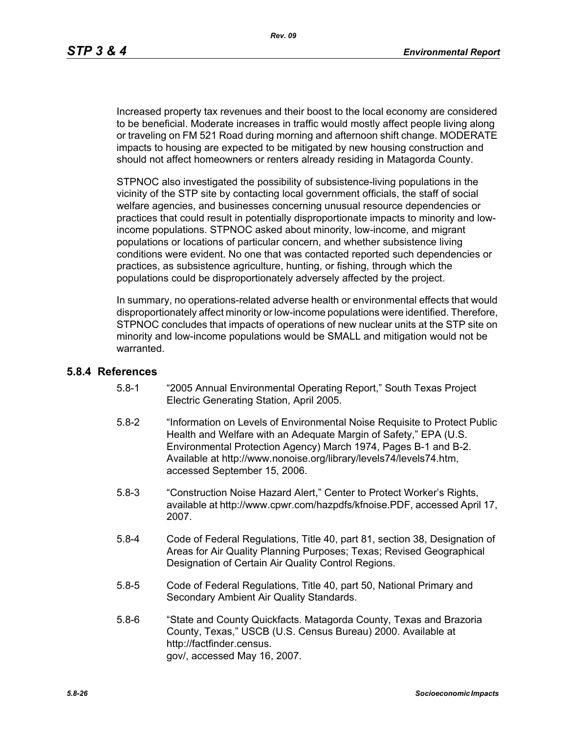Increased property tax revenues and their boost to the local economy are considered to be beneficial. Moderate increases in traffic would mostly affect people living along or traveling on FM 521 Road during morning and afternoon shift change. MODERATE impacts to housing are expected to be mitigated by new housing construction and should not affect homeowners or renters already residing in Matagorda County.

STPNOC also investigated the possibility of subsistence-living populations in the vicinity of the STP site by contacting local government officials, the staff of social welfare agencies, and businesses concerning unusual resource dependencies or practices that could result in potentially disproportionate impacts to minority and lowincome populations. STPNOC asked about minority, low-income, and migrant populations or locations of particular concern, and whether subsistence living conditions were evident. No one that was contacted reported such dependencies or practices, as subsistence agriculture, hunting, or fishing, through which the populations could be disproportionately adversely affected by the project.

In summary, no operations-related adverse health or environmental effects that would disproportionately affect minority or low-income populations were identified. Therefore, STPNOC concludes that impacts of operations of new nuclear units at the STP site on minority and low-income populations would be SMALL and mitigation would not be warranted.

#### **5.8.4 References**

- 5.8-1 "2005 Annual Environmental Operating Report," South Texas Project Electric Generating Station, April 2005.
- 5.8-2 "Information on Levels of Environmental Noise Requisite to Protect Public Health and Welfare with an Adequate Margin of Safety," EPA (U.S. Environmental Protection Agency) March 1974, Pages B-1 and B-2. Available at http://www.nonoise.org/library/levels74/levels74.htm, accessed September 15, 2006.
- 5.8-3 "Construction Noise Hazard Alert," Center to Protect Worker's Rights, available at http://www.cpwr.com/hazpdfs/kfnoise.PDF, accessed April 17, 2007.
- 5.8-4 Code of Federal Regulations, Title 40, part 81, section 38, Designation of Areas for Air Quality Planning Purposes; Texas; Revised Geographical Designation of Certain Air Quality Control Regions.
- 5.8-5 Code of Federal Regulations, Title 40, part 50, National Primary and Secondary Ambient Air Quality Standards.
- 5.8-6 "State and County Quickfacts. Matagorda County, Texas and Brazoria County, Texas," USCB (U.S. Census Bureau) 2000. Available at http://factfinder.census. gov/, accessed May 16, 2007.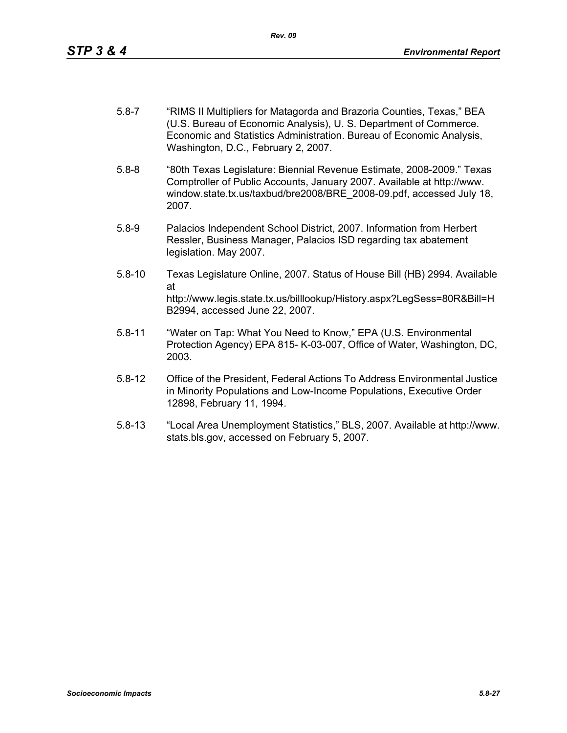- 5.8-7 "RIMS II Multipliers for Matagorda and Brazoria Counties, Texas," BEA (U.S. Bureau of Economic Analysis), U. S. Department of Commerce. Economic and Statistics Administration. Bureau of Economic Analysis, Washington, D.C., February 2, 2007.
- 5.8-8 "80th Texas Legislature: Biennial Revenue Estimate, 2008-2009." Texas Comptroller of Public Accounts, January 2007. Available at http://www. window.state.tx.us/taxbud/bre2008/BRE\_2008-09.pdf, accessed July 18, 2007.
- 5.8-9 Palacios Independent School District, 2007. Information from Herbert Ressler, Business Manager, Palacios ISD regarding tax abatement legislation. May 2007.
- 5.8-10 Texas Legislature Online, 2007. Status of House Bill (HB) 2994. Available at http://www.legis.state.tx.us/billlookup/History.aspx?LegSess=80R&Bill=H B2994, accessed June 22, 2007.
- 5.8-11 "Water on Tap: What You Need to Know," EPA (U.S. Environmental Protection Agency) EPA 815- K-03-007, Office of Water, Washington, DC, 2003.
- 5.8-12 Office of the President, Federal Actions To Address Environmental Justice in Minority Populations and Low-Income Populations, Executive Order 12898, February 11, 1994.
- 5.8-13 "Local Area Unemployment Statistics," BLS, 2007. Available at http://www. stats.bls.gov, accessed on February 5, 2007.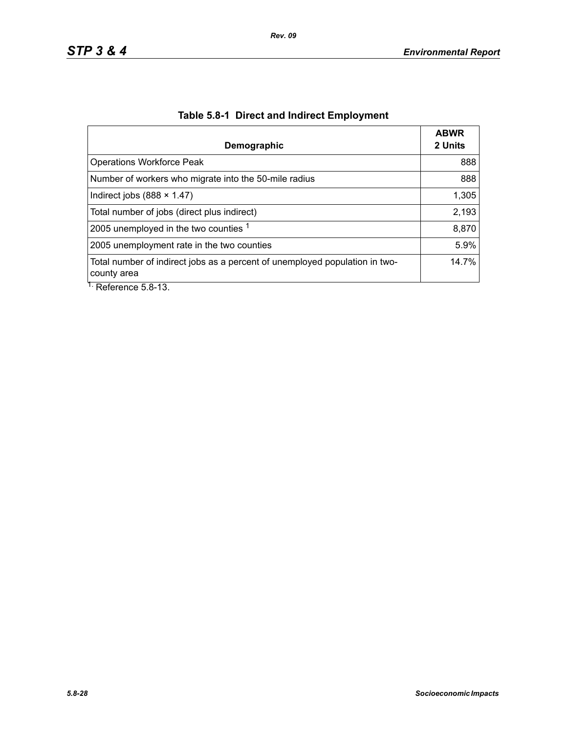| Demographic                                                                                | <b>ABWR</b><br>2 Units |
|--------------------------------------------------------------------------------------------|------------------------|
| <b>Operations Workforce Peak</b>                                                           | 888                    |
| Number of workers who migrate into the 50-mile radius                                      | 888                    |
| Indirect jobs $(888 \times 1.47)$                                                          | 1,305                  |
| Total number of jobs (direct plus indirect)                                                | 2,193                  |
| 2005 unemployed in the two counties 1                                                      | 8,870                  |
| 2005 unemployment rate in the two counties                                                 | 5.9%                   |
| Total number of indirect jobs as a percent of unemployed population in two-<br>county area | 14.7%                  |
| $\overline{1}$ . Deference E.O. 12                                                         |                        |

# **Table 5.8-1 Direct and Indirect Employment**

Reference 5.8-13.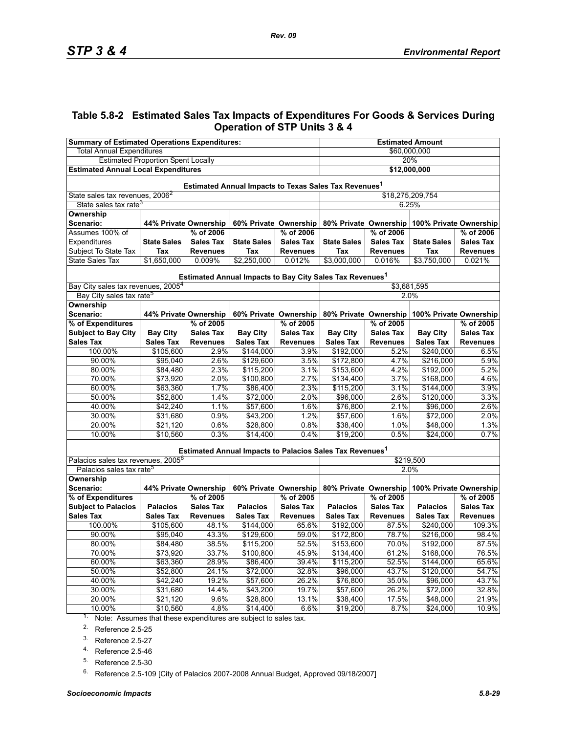### **Table 5.8-2 Estimated Sales Tax Impacts of Expenditures For Goods & Services During Operation of STP Units 3 & 4**

| <b>Summary of Estimated Operations Expenditures:</b>                 |                       |                       |                    | <b>Estimated Amount</b> |                                                                      |                  |                                              |                  |  |  |
|----------------------------------------------------------------------|-----------------------|-----------------------|--------------------|-------------------------|----------------------------------------------------------------------|------------------|----------------------------------------------|------------------|--|--|
| <b>Total Annual Expenditures</b>                                     |                       |                       |                    | \$60,000,000            |                                                                      |                  |                                              |                  |  |  |
| <b>Estimated Proportion Spent Locally</b>                            |                       |                       |                    | 20%                     |                                                                      |                  |                                              |                  |  |  |
| <b>Estimated Annual Local Expenditures</b>                           |                       |                       |                    | \$12,000,000            |                                                                      |                  |                                              |                  |  |  |
| Estimated Annual Impacts to Texas Sales Tax Revenues <sup>1</sup>    |                       |                       |                    |                         |                                                                      |                  |                                              |                  |  |  |
| State sales tax revenues, 2006 <sup>2</sup>                          |                       |                       |                    |                         | \$18,275,209,754                                                     |                  |                                              |                  |  |  |
| State sales tax rate <sup>3</sup>                                    |                       |                       |                    |                         |                                                                      | 6.25%            |                                              |                  |  |  |
| Ownership                                                            |                       |                       |                    |                         |                                                                      |                  |                                              |                  |  |  |
| Scenario:                                                            | 44% Private Ownership |                       |                    | 60% Private Ownership   | 80% Private Ownership<br>100% Private Ownership                      |                  |                                              |                  |  |  |
| Assumes 100% of                                                      |                       | % of 2006             |                    | % of 2006               | % of 2006<br>% of 2006                                               |                  |                                              |                  |  |  |
| Expenditures                                                         | <b>State Sales</b>    | <b>Sales Tax</b>      | <b>State Sales</b> | <b>Sales Tax</b>        | <b>State Sales</b>                                                   | <b>Sales Tax</b> | <b>State Sales</b>                           | <b>Sales Tax</b> |  |  |
| Subject To State Tax                                                 | Tax                   | <b>Revenues</b>       | Tax                | <b>Revenues</b>         | Tax                                                                  | <b>Revenues</b>  | Tax                                          | <b>Revenues</b>  |  |  |
| <b>State Sales Tax</b>                                               | \$1,650,000           | 0.009%                | \$2,250,000        | 0.012%                  | \$3,000,000                                                          | 0.016%           | \$3,750,000                                  | 0.021%           |  |  |
|                                                                      |                       |                       |                    |                         | Estimated Annual Impacts to Bay City Sales Tax Revenues <sup>1</sup> |                  |                                              |                  |  |  |
| Bay City sales tax revenues, 2005 <sup>4</sup>                       |                       |                       |                    |                         |                                                                      | \$3,681,595      |                                              |                  |  |  |
| Bay City sales tax rate <sup>5</sup>                                 |                       |                       |                    |                         |                                                                      | 2.0%             |                                              |                  |  |  |
| <b>Ownership</b><br>Scenario:                                        | 44% Private Ownership |                       |                    | 60% Private Ownership   |                                                                      |                  | 80% Private Ownership 100% Private Ownership |                  |  |  |
| % of Expenditures                                                    |                       | % of 2005             |                    | % of 2005               |                                                                      | % of 2005        |                                              | % of 2005        |  |  |
| <b>Subject to Bay City</b>                                           | <b>Bay City</b>       | <b>Sales Tax</b>      | <b>Bay City</b>    | <b>Sales Tax</b>        | <b>Bay City</b>                                                      | <b>Sales Tax</b> | <b>Bay City</b>                              | <b>Sales Tax</b> |  |  |
| <b>Sales Tax</b>                                                     | <b>Sales Tax</b>      | <b>Revenues</b>       | <b>Sales Tax</b>   | <b>Revenues</b>         | <b>Sales Tax</b>                                                     | <b>Revenues</b>  | <b>Sales Tax</b>                             | <b>Revenues</b>  |  |  |
| 100.00%                                                              | \$105,600             | 2.9%                  | \$144,000          | 3.9%                    | \$192,000                                                            | 5.2%             | \$240,000                                    | 6.5%             |  |  |
| 90.00%                                                               | \$95,040              | 2.6%                  | \$129,600          | 3.5%                    | \$172,800                                                            | 4.7%             | \$216,000                                    | 5.9%             |  |  |
| 80.00%                                                               | \$84,480              | 2.3%                  | \$115,200          | 3.1%                    | \$153,600                                                            | 4.2%             | \$192,000                                    | 5.2%             |  |  |
| 70.00%                                                               | \$73,920              | 2.0%                  | \$100,800          | 2.7%                    | \$134,400                                                            | 3.7%             | \$168,000                                    | 4.6%             |  |  |
| 60.00%                                                               | \$63,360              | 1.7%                  | \$86,400           | 2.3%                    | \$115,200                                                            | 3.1%             | \$144,000                                    | 3.9%             |  |  |
| 50.00%                                                               | \$52,800              | 1.4%                  | \$72,000           | 2.0%                    | \$96,000                                                             | 2.6%             | \$120,000                                    | 3.3%             |  |  |
| 40.00%                                                               | \$42,240              | 1.1%                  | \$57,600           | 1.6%                    | \$76,800                                                             | 2.1%             | \$96,000                                     | 2.6%             |  |  |
| 30.00%                                                               | \$31,680              | 0.9%                  | \$43,200           | 1.2%                    | \$57,600                                                             | 1.6%             | \$72,000                                     | 2.0%             |  |  |
| 20.00%                                                               | \$21,120              | 0.6%                  | \$28,800           | 0.8%                    | \$38,400                                                             | 1.0%             | \$48,000                                     | 1.3%             |  |  |
| 10.00%                                                               | \$10,560              | 0.3%                  | $\sqrt{$14,400}$   | 0.4%                    | \$19,200                                                             | 0.5%             | \$24,000                                     | 0.7%             |  |  |
|                                                                      |                       |                       |                    |                         | Estimated Annual Impacts to Palacios Sales Tax Revenues <sup>1</sup> |                  |                                              |                  |  |  |
| Palacios sales tax revenues, 2005 <sup>6</sup>                       |                       |                       |                    |                         | \$219,500                                                            |                  |                                              |                  |  |  |
| Palacios sales tax rate <sup>5</sup>                                 |                       |                       |                    |                         |                                                                      | 2.0%             |                                              |                  |  |  |
| Ownership<br>Scenario:                                               |                       | 44% Private Ownership |                    | 60% Private Ownership   | 80% Private Ownership                                                |                  | 100% Private Ownership                       |                  |  |  |
| % of Expenditures                                                    |                       | % of 2005             |                    | % of 2005               |                                                                      | % of 2005        |                                              | % of 2005        |  |  |
| <b>Subject to Palacios</b>                                           | <b>Palacios</b>       | <b>Sales Tax</b>      | <b>Palacios</b>    | <b>Sales Tax</b>        | <b>Palacios</b>                                                      | <b>Sales Tax</b> | <b>Palacios</b>                              | <b>Sales Tax</b> |  |  |
| <b>Sales Tax</b>                                                     | <b>Sales Tax</b>      | <b>Revenues</b>       | <b>Sales Tax</b>   | <b>Revenues</b>         | <b>Sales Tax</b>                                                     | <b>Revenues</b>  | <b>Sales Tax</b>                             | <b>Revenues</b>  |  |  |
| 100.00%                                                              | \$105,600             | 48.1%                 | \$144,000          | 65.6%                   | \$192,000                                                            | 87.5%            | \$240,000                                    | 109.3%           |  |  |
| 90.00%                                                               | \$95,040              | 43.3%                 | \$129,600          | 59.0%                   | \$172,800                                                            | 78.7%            | \$216,000                                    | 98.4%            |  |  |
| 80.00%                                                               | \$84,480              | 38.5%                 | \$115,200          | 52.5%                   | \$153,600                                                            | 70.0%            | \$192,000                                    | 87.5%            |  |  |
| 70.00%                                                               | \$73,920              | 33.7%                 | \$100,800          | 45.9%                   | \$134,400                                                            | 61.2%            | \$168,000                                    | 76.5%            |  |  |
| 60.00%                                                               | \$63,360              | 28.9%                 | \$86,400           | 39.4%                   | \$115,200                                                            | 52.5%            | \$144,000                                    | 65.6%            |  |  |
| 50.00%                                                               | \$52,800              | 24.1%                 | \$72,000           | 32.8%                   | \$96,000                                                             | 43.7%            | \$120,000                                    | 54.7%            |  |  |
| 40.00%                                                               | \$42,240              | 19.2%                 | \$57,600           | 26.2%                   | \$76,800                                                             | 35.0%            | \$96,000                                     | 43.7%            |  |  |
| 30.00%                                                               | \$31,680              | 14.4%                 | \$43,200           | 19.7%                   | \$57,600                                                             | 26.2%            | \$72,000                                     | 32.8%            |  |  |
| 20.00%                                                               | \$21,120              | 9.6%                  | \$28,800           | 13.1%                   | \$38,400                                                             | 17.5%            | \$48,000                                     | 21.9%            |  |  |
| 10.00%                                                               | \$10,560              | 4.8%                  | \$14,400           | 6.6%                    | \$19,200                                                             | 8.7%             | \$24,000                                     | 10.9%            |  |  |
| $1.$ Note: Assumes that these expenditures are subject to sales tax. |                       |                       |                    |                         |                                                                      |                  |                                              |                  |  |  |

Note: Assumes that these expenditures are subject to sales tax.

<span id="page-28-0"></span>2. Reference 2.5-25

3. Reference 2.5-27

4. Reference 2.5-46

<span id="page-28-1"></span>5. Reference 2.5-30

<sup>6.</sup> Reference 2.5-109 [City of Palacios 2007-2008 Annual Budget, Approved 09/18/2007]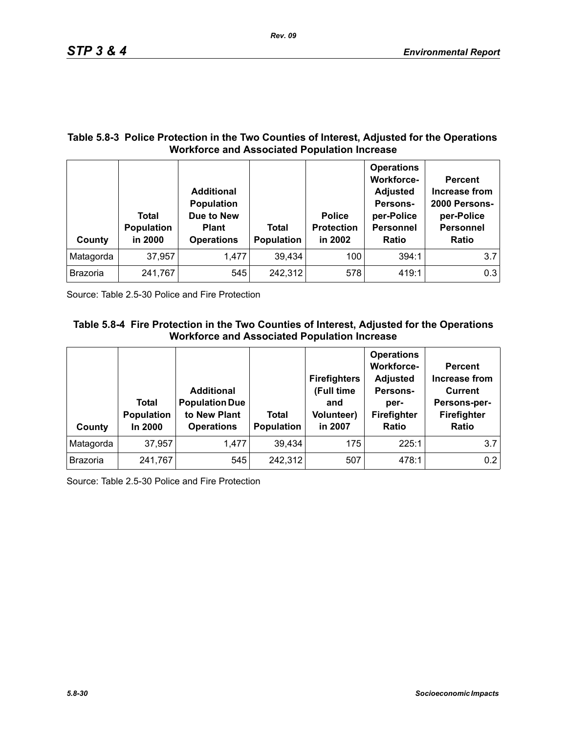### **Table 5.8-3 Police Protection in the Two Counties of Interest, Adjusted for the Operations Workforce and Associated Population Increase**

| County    | Total<br><b>Population</b><br>in 2000 | <b>Additional</b><br>Population<br>Due to New<br><b>Plant</b><br><b>Operations</b> | <b>Total</b><br><b>Population</b> | <b>Police</b><br><b>Protection</b><br>in 2002 | <b>Operations</b><br><b>Workforce-</b><br><b>Adjusted</b><br>Persons-<br>per-Police<br><b>Personnel</b><br><b>Ratio</b> | <b>Percent</b><br>Increase from<br>2000 Persons-<br>per-Police<br><b>Personnel</b><br><b>Ratio</b> |
|-----------|---------------------------------------|------------------------------------------------------------------------------------|-----------------------------------|-----------------------------------------------|-------------------------------------------------------------------------------------------------------------------------|----------------------------------------------------------------------------------------------------|
| Matagorda | 37,957                                | 1,477                                                                              | 39,434                            | 100                                           | 394:1                                                                                                                   | 3.7                                                                                                |
| Brazoria  | 241,767                               | 545                                                                                | 242,312                           | 578                                           | 419:1                                                                                                                   | 0.3                                                                                                |

Source: Table 2.5-30 Police and Fire Protection

## **Table 5.8-4 Fire Protection in the Two Counties of Interest, Adjusted for the Operations Workforce and Associated Population Increase**

| County          | Total<br>Population<br>In 2000 | <b>Additional</b><br><b>Population Due</b><br>to New Plant<br><b>Operations</b> | Total<br>Population | <b>Firefighters</b><br>(Full time<br>and<br><b>Volunteer)</b><br>in 2007 | <b>Operations</b><br><b>Workforce-</b><br><b>Adjusted</b><br>Persons-<br>per-<br>Firefighter<br>Ratio | <b>Percent</b><br><b>Increase from</b><br><b>Current</b><br>Persons-per-<br>Firefighter<br><b>Ratio</b> |
|-----------------|--------------------------------|---------------------------------------------------------------------------------|---------------------|--------------------------------------------------------------------------|-------------------------------------------------------------------------------------------------------|---------------------------------------------------------------------------------------------------------|
| Matagorda       | 37,957                         | 1,477                                                                           | 39,434              | 175                                                                      | 225:1                                                                                                 | 3.7                                                                                                     |
| <b>Brazoria</b> | 241,767                        | 545                                                                             | 242,312             | 507                                                                      | 478:1                                                                                                 | 0.2                                                                                                     |

Source: Table 2.5-30 Police and Fire Protection